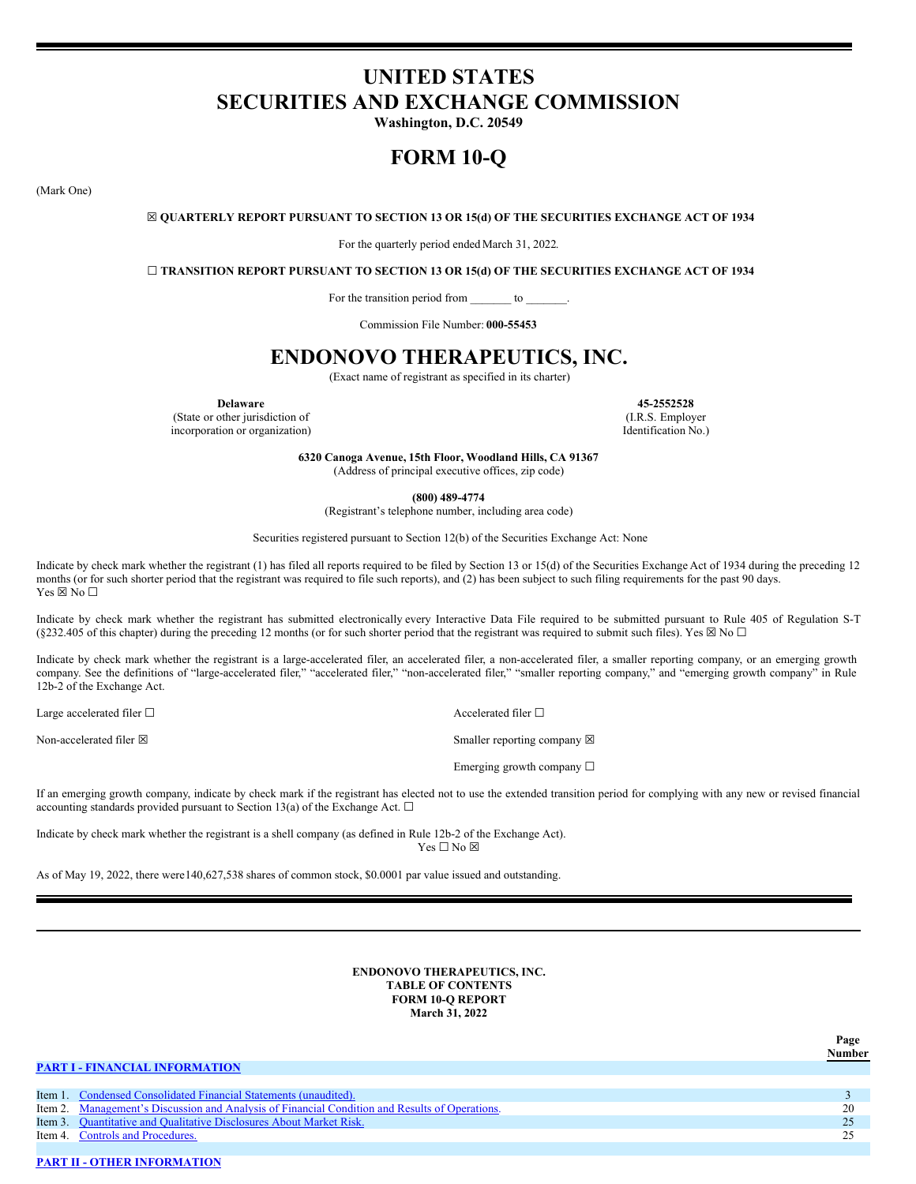# **UNITED STATES SECURITIES AND EXCHANGE COMMISSION**

**Washington, D.C. 20549**

# **FORM 10-Q**

<span id="page-0-0"></span>(Mark One)

☒ **QUARTERLY REPORT PURSUANT TO SECTION 13 OR 15(d) OF THE SECURITIES EXCHANGE ACT OF 1934**

For the quarterly period ended March 31, 2022.

☐ **TRANSITION REPORT PURSUANT TO SECTION 13 OR 15(d) OF THE SECURITIES EXCHANGE ACT OF 1934**

For the transition period from \_\_\_\_\_\_\_\_ to \_\_\_\_\_

Commission File Number: **000-55453**

## **ENDONOVO THERAPEUTICS, INC.**

(Exact name of registrant as specified in its charter)

(State or other jurisdiction of (I.R.S. Employer incorporation or organization) Identification No.)

**Delaware 45-2552528**

**Page**

**6320 Canoga Avenue, 15th Floor, Woodland Hills, CA 91367** (Address of principal executive offices, zip code)

**(800) 489-4774**

(Registrant's telephone number, including area code)

Securities registered pursuant to Section 12(b) of the Securities Exchange Act: None

Indicate by check mark whether the registrant (1) has filed all reports required to be filed by Section 13 or 15(d) of the Securities Exchange Act of 1934 during the preceding 12 months (or for such shorter period that the registrant was required to file such reports), and (2) has been subject to such filing requirements for the past 90 days. Yes  $\boxtimes$  No  $\Box$ 

Indicate by check mark whether the registrant has submitted electronically every Interactive Data File required to be submitted pursuant to Rule 405 of Regulation S-T (§232.405 of this chapter) during the preceding 12 months (or for such shorter period that the registrant was required to submit such files). Yes  $\boxtimes$  No  $\Box$ 

Indicate by check mark whether the registrant is a large-accelerated filer, an accelerated filer, a non-accelerated filer, a smaller reporting company, or an emerging growth company. See the definitions of "large-accelerated filer," "accelerated filer," "non-accelerated filer," "smaller reporting company," and "emerging growth company" in Rule 12b-2 of the Exchange Act.

Large accelerated filer □ and  $\Box$  Accelerated filer □

Non-accelerated filer  $\boxtimes$  Smaller reporting company  $\boxtimes$ 

Emerging growth company ☐

If an emerging growth company, indicate by check mark if the registrant has elected not to use the extended transition period for complying with any new or revised financial accounting standards provided pursuant to Section 13(a) of the Exchange Act.  $\Box$ 

Indicate by check mark whether the registrant is a shell company (as defined in Rule 12b-2 of the Exchange Act). Yes □ No ⊠

As of May 19, 2022, there were140,627,538 shares of common stock, \$0.0001 par value issued and outstanding.

**ENDONOVO THERAPEUTICS, INC. TABLE OF CONTENTS FORM 10-Q REPORT March 31, 2022**

|                                                                                                | Number |
|------------------------------------------------------------------------------------------------|--------|
| <b>PART I - FINANCIAL INFORMATION</b>                                                          |        |
|                                                                                                |        |
| Item 1. Condensed Consolidated Financial Statements (unaudited).                               |        |
| Item 2. Management's Discussion and Analysis of Financial Condition and Results of Operations. | 20     |
| Item 3. Quantitative and Qualitative Disclosures About Market Risk.                            | 25     |
| Item 4. Controls and Procedures.                                                               | 25     |
|                                                                                                |        |
| <b>PART II - OTHER INFORMATION</b>                                                             |        |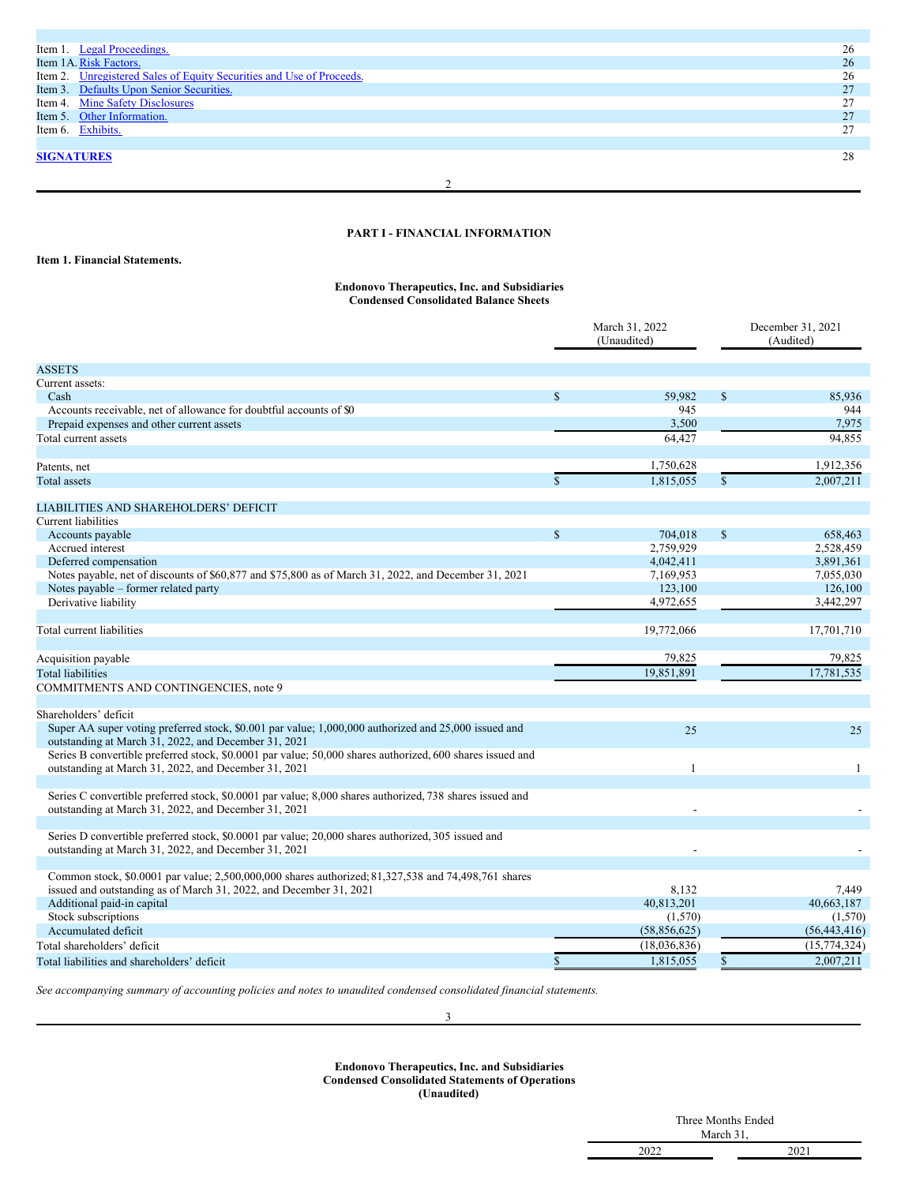| Item 1. Legal Proceedings.                                           | 26 |
|----------------------------------------------------------------------|----|
| Item 1A. Risk Factors.                                               | 26 |
| Item 2. Unregistered Sales of Equity Securities and Use of Proceeds. | 26 |
| Item 3. Defaults Upon Senior Securities.                             | 27 |
| Item 4. Mine Safety Disclosures                                      | 27 |
| Item 5. Other Information.                                           | 27 |
| Item 6. Exhibits.                                                    | 27 |
|                                                                      |    |
| <b>SIGNATURES</b>                                                    | 28 |
|                                                                      |    |

2

## **PART I - FINANCIAL INFORMATION**

#### **Item 1. Financial Statements.**

## **Endonovo Therapeutics, Inc. and Subsidiaries Condensed Consolidated Balance Sheets**

|                                                                                                                                                                   | March 31, 2022<br>(Unaudited) | December 31, 2021<br>(Audited) |
|-------------------------------------------------------------------------------------------------------------------------------------------------------------------|-------------------------------|--------------------------------|
| <b>ASSETS</b>                                                                                                                                                     |                               |                                |
| Current assets:                                                                                                                                                   |                               |                                |
| $\mathbf{s}$<br>Cash                                                                                                                                              | 59.982                        | $\mathsf{\$}$<br>85.936        |
| Accounts receivable, net of allowance for doubtful accounts of \$0                                                                                                | 945                           | 944                            |
| Prepaid expenses and other current assets                                                                                                                         | 3,500                         | 7,975                          |
| Total current assets                                                                                                                                              | 64,427                        | 94.855                         |
| Patents, net                                                                                                                                                      | 1,750,628                     | 1,912,356                      |
| <b>Total</b> assets<br>$\mathbf{s}$                                                                                                                               | 1,815,055                     | 2,007,211<br>\$                |
| LIABILITIES AND SHAREHOLDERS' DEFICIT                                                                                                                             |                               |                                |
| Current liabilities                                                                                                                                               |                               |                                |
| $\mathbb{S}$<br>Accounts payable                                                                                                                                  | 704,018                       | $\mathsf{\$}$<br>658,463       |
| Accrued interest                                                                                                                                                  | 2,759,929                     | 2,528,459                      |
| Deferred compensation                                                                                                                                             | 4,042,411                     | 3,891,361                      |
| Notes payable, net of discounts of \$60,877 and \$75,800 as of March 31, 2022, and December 31, 2021                                                              | 7,169,953                     | 7,055,030                      |
| Notes payable - former related party                                                                                                                              | 123,100                       | 126,100                        |
| Derivative liability                                                                                                                                              | 4,972,655                     | 3,442,297                      |
| Total current liabilities                                                                                                                                         | 19,772,066                    | 17,701,710                     |
| Acquisition payable                                                                                                                                               | 79,825                        | 79,825                         |
| <b>Total liabilities</b>                                                                                                                                          | 19,851,891                    | 17,781,535                     |
| COMMITMENTS AND CONTINGENCIES, note 9                                                                                                                             |                               |                                |
| Shareholders' deficit                                                                                                                                             |                               |                                |
| Super AA super voting preferred stock, \$0.001 par value; 1,000,000 authorized and 25,000 issued and<br>outstanding at March 31, 2022, and December 31, 2021      | 25                            | 25                             |
| Series B convertible preferred stock, \$0.0001 par value; 50,000 shares authorized, 600 shares issued and<br>outstanding at March 31, 2022, and December 31, 2021 | $\mathbf{1}$                  | $\mathbf{1}$                   |
|                                                                                                                                                                   |                               |                                |
| Series C convertible preferred stock, \$0,0001 par value; 8,000 shares authorized, 738 shares issued and<br>outstanding at March 31, 2022, and December 31, 2021  |                               |                                |
|                                                                                                                                                                   |                               |                                |
| Series D convertible preferred stock, \$0.0001 par value; 20,000 shares authorized, 305 issued and<br>outstanding at March 31, 2022, and December 31, 2021        |                               |                                |
|                                                                                                                                                                   |                               |                                |
| Common stock, \$0.0001 par value; 2,500,000,000 shares authorized; 81,327,538 and 74,498,761 shares                                                               | 8.132                         |                                |
| issued and outstanding as of March 31, 2022, and December 31, 2021<br>Additional paid-in capital                                                                  | 40,813,201                    | 7,449<br>40,663,187            |
| Stock subscriptions                                                                                                                                               | (1,570)                       | (1,570)                        |
| Accumulated deficit                                                                                                                                               | (58, 856, 625)                | (56, 443, 416)                 |
| Total shareholders' deficit                                                                                                                                       | (18, 036, 836)                | (15,774,324)                   |
| $\mathbb{S}$<br>Total liabilities and shareholders' deficit                                                                                                       | 1,815,055                     | 2,007,211<br>\$                |

*See accompanying summary of accounting policies and notes to unaudited condensed consolidated financial statements.*

**Endonovo Therapeutics, Inc. and Subsidiaries Condensed Consolidated Statements of Operations (Unaudited)**

3

Three Months Ended

March 31, 2022 2021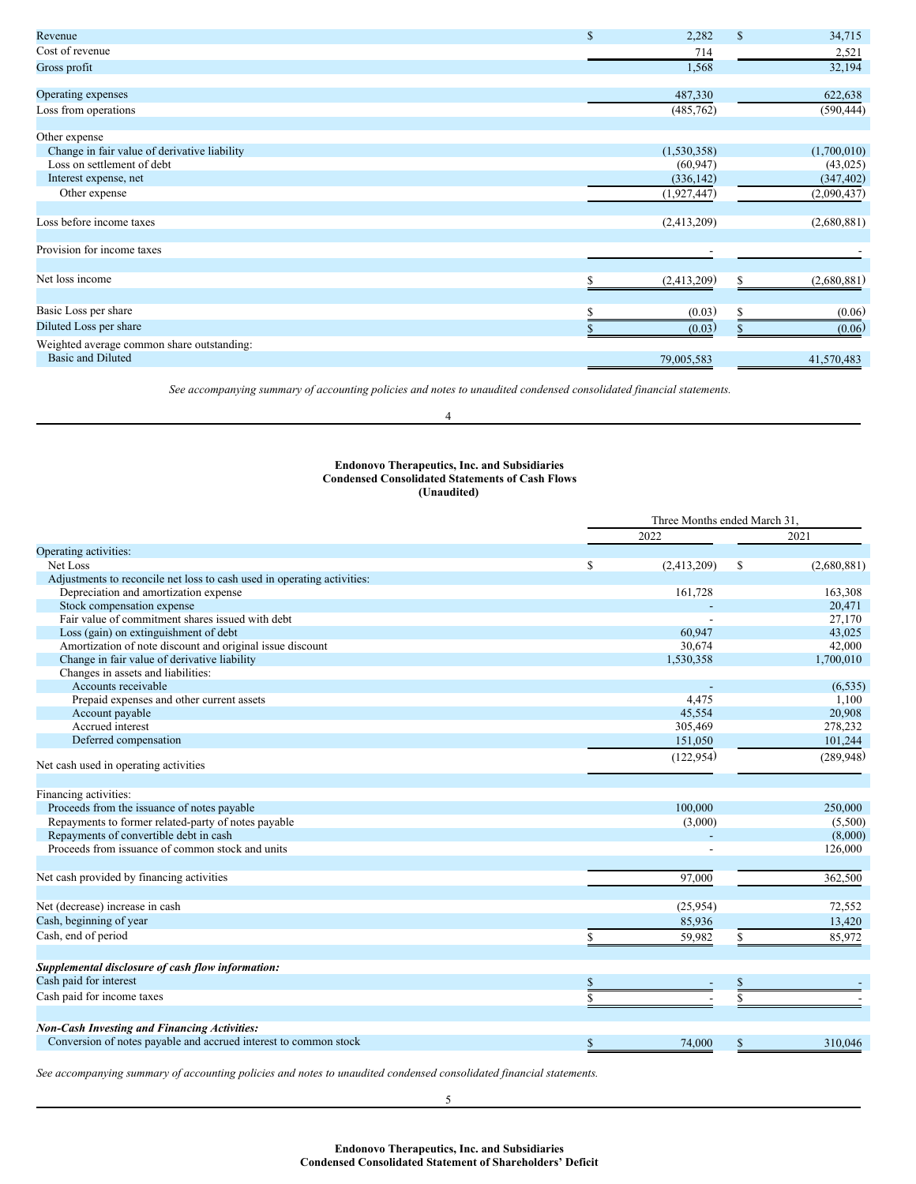| Revenue                                      | $\mathbb{S}$ | 2,282       | $\mathbb{S}$ | 34,715      |
|----------------------------------------------|--------------|-------------|--------------|-------------|
| Cost of revenue                              |              | 714         |              | 2,521       |
| Gross profit                                 |              | 1,568       |              | 32,194      |
| Operating expenses                           |              | 487,330     |              | 622,638     |
| Loss from operations                         |              | (485, 762)  |              | (590, 444)  |
| Other expense                                |              |             |              |             |
| Change in fair value of derivative liability |              | (1,530,358) |              | (1,700,010) |
| Loss on settlement of debt                   |              | (60, 947)   |              | (43,025)    |
| Interest expense, net                        |              | (336, 142)  |              | (347, 402)  |
| Other expense                                |              | (1,927,447) |              | (2,090,437) |
| Loss before income taxes                     |              | (2,413,209) |              | (2,680,881) |
| Provision for income taxes                   |              |             |              |             |
| Net loss income                              |              | (2,413,209) | S            | (2,680,881) |
| Basic Loss per share                         |              | (0.03)      |              | (0.06)      |
| Diluted Loss per share                       |              | (0.03)      |              | (0.06)      |
| Weighted average common share outstanding:   |              |             |              |             |
| <b>Basic and Diluted</b>                     |              | 79,005,583  |              | 41,570,483  |
|                                              |              |             |              |             |

*See accompanying summary of accounting policies and notes to unaudited condensed consolidated financial statements.*

4

## **Endonovo Therapeutics, Inc. and Subsidiaries Condensed Consolidated Statements of Cash Flows (Unaudited)**

|                                                                         | Three Months ended March 31, |             |    |             |  |  |  |
|-------------------------------------------------------------------------|------------------------------|-------------|----|-------------|--|--|--|
|                                                                         |                              | 2022        |    | 2021        |  |  |  |
| Operating activities:                                                   |                              |             |    |             |  |  |  |
| Net Loss                                                                | S                            | (2,413,209) | \$ | (2,680,881) |  |  |  |
| Adjustments to reconcile net loss to cash used in operating activities: |                              |             |    |             |  |  |  |
| Depreciation and amortization expense                                   |                              | 161,728     |    | 163,308     |  |  |  |
| Stock compensation expense                                              |                              |             |    | 20,471      |  |  |  |
| Fair value of commitment shares issued with debt                        |                              |             |    | 27,170      |  |  |  |
| Loss (gain) on extinguishment of debt                                   |                              | 60.947      |    | 43,025      |  |  |  |
| Amortization of note discount and original issue discount               |                              | 30,674      |    | 42,000      |  |  |  |
| Change in fair value of derivative liability                            |                              | 1,530,358   |    | 1,700,010   |  |  |  |
| Changes in assets and liabilities:                                      |                              |             |    |             |  |  |  |
| Accounts receivable                                                     |                              |             |    | (6, 535)    |  |  |  |
| Prepaid expenses and other current assets                               |                              | 4,475       |    | 1,100       |  |  |  |
| Account payable                                                         |                              | 45,554      |    | 20,908      |  |  |  |
| Accrued interest                                                        |                              | 305,469     |    | 278,232     |  |  |  |
| Deferred compensation                                                   |                              | 151,050     |    | 101,244     |  |  |  |
|                                                                         |                              | (122, 954)  |    | (289, 948)  |  |  |  |
| Net cash used in operating activities                                   |                              |             |    |             |  |  |  |
|                                                                         |                              |             |    |             |  |  |  |
| Financing activities:                                                   |                              |             |    |             |  |  |  |
| Proceeds from the issuance of notes payable                             |                              | 100,000     |    | 250,000     |  |  |  |
| Repayments to former related-party of notes payable                     |                              | (3,000)     |    | (5,500)     |  |  |  |
| Repayments of convertible debt in cash                                  |                              |             |    | (8,000)     |  |  |  |
| Proceeds from issuance of common stock and units                        |                              |             |    | 126,000     |  |  |  |
|                                                                         |                              |             |    |             |  |  |  |
| Net cash provided by financing activities                               |                              | 97,000      |    | 362,500     |  |  |  |
|                                                                         |                              |             |    |             |  |  |  |
| Net (decrease) increase in cash                                         |                              | (25,954)    |    | 72,552      |  |  |  |
| Cash, beginning of year                                                 |                              | 85,936      |    | 13,420      |  |  |  |
| Cash, end of period                                                     | \$                           | 59,982      |    | 85,972      |  |  |  |
|                                                                         |                              |             |    |             |  |  |  |
| Supplemental disclosure of cash flow information:                       |                              |             |    |             |  |  |  |
| Cash paid for interest                                                  | \$                           |             | S  |             |  |  |  |
| Cash paid for income taxes                                              | S                            |             |    |             |  |  |  |
|                                                                         |                              |             |    |             |  |  |  |
| <b>Non-Cash Investing and Financing Activities:</b>                     |                              |             |    |             |  |  |  |
| Conversion of notes payable and accrued interest to common stock        | $\mathbb{S}$                 | 74,000      | \$ | 310,046     |  |  |  |

*See accompanying summary of accounting policies and notes to unaudited condensed consolidated financial statements.*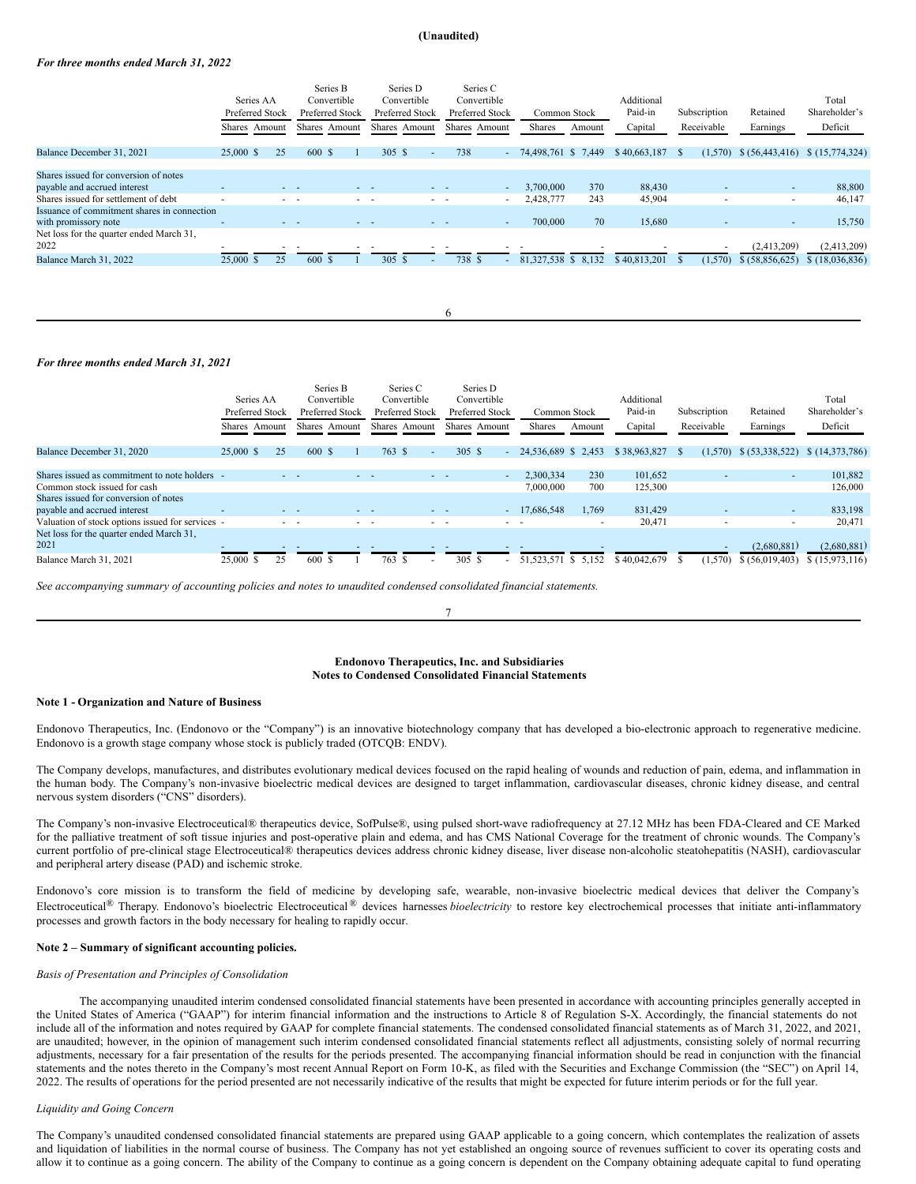#### **(Unaudited)**

## *For three months ended March 31, 2022*

|                                                                     | Preferred Stock | Series AA |     | <b>Preferred Stock</b> | Series B<br>Convertible |     |      | Series D<br>Convertible<br>Preferred Stock |                          |               | Series C<br>Convertible<br>Preferred Stock | Common Stock           |        | Additional<br>Paid-in | Subscription | Retained                    | Total<br>Shareholder's |
|---------------------------------------------------------------------|-----------------|-----------|-----|------------------------|-------------------------|-----|------|--------------------------------------------|--------------------------|---------------|--------------------------------------------|------------------------|--------|-----------------------|--------------|-----------------------------|------------------------|
|                                                                     | Shares Amount   |           |     | Shares Amount          |                         |     |      | Shares Amount                              |                          | Shares Amount |                                            | <b>Shares</b>          | Amount | Capital               | Receivable   | Earnings                    | Deficit                |
| Balance December 31, 2021                                           | 25,000 \$       |           | 25  | 600 \$                 |                         |     | 305S |                                            |                          | 738           |                                            | $-74,498,761$ \$ 7,449 |        | $$40,663,187$ \$      |              | $(1,570)$ \$ $(56,443,416)$ | \$(15,774,324)         |
| Shares issued for conversion of notes                               |                 |           |     |                        |                         |     |      |                                            |                          |               |                                            |                        |        |                       |              |                             |                        |
| payable and accrued interest                                        |                 |           | - - |                        |                         |     |      |                                            | - -                      |               | $\sim$                                     | 3,700,000              | 370    | 88,430                |              | $\sim$                      | 88,800                 |
| Shares issued for settlement of debt                                |                 |           | . . |                        |                         | . . |      |                                            | $\sim$ $\sim$            |               | ۰.                                         | 2,428,777              | 243    | 45,904                |              | ۰.                          | 46,147                 |
| Issuance of commitment shares in connection<br>with promissory note |                 |           | - - |                        |                         | - - |      |                                            | . .                      |               | ۰                                          | 700,000                | 70     | 15,680                |              | ۰                           | 15,750                 |
| Net loss for the quarter ended March 31,                            |                 |           |     |                        |                         |     |      |                                            |                          |               |                                            |                        |        |                       |              |                             |                        |
| 2022                                                                |                 |           |     |                        |                         |     |      |                                            |                          |               |                                            |                        |        |                       |              | (2,413,209)                 | (2,413,209)            |
| Balance March 31, 2022                                              | 25,000 \$       |           | 25  | 600 \$                 |                         |     | 305S |                                            | $\overline{\phantom{a}}$ | 738 \$        | ٠                                          | 81,327,538 \$ 8,132    |        | \$40,813,201          | (1,570)      | \$ (58,856,625)             | \$(18,036,836)         |

## 6

## *For three months ended March 31, 2021*

|                                                                                  |           | Series AA<br>Preferred Stock |               | Series B<br>Convertible<br>Preferred Stock |                                                                                                              |     | Series C<br>Convertible<br>Preferred Stock |                                                                                                              | Preferred Stock | Series D<br>Convertible |     | Common Stock           |            | Additional<br>Paid-in | Subscription | Retained        | Total<br>Shareholder's |
|----------------------------------------------------------------------------------|-----------|------------------------------|---------------|--------------------------------------------|--------------------------------------------------------------------------------------------------------------|-----|--------------------------------------------|--------------------------------------------------------------------------------------------------------------|-----------------|-------------------------|-----|------------------------|------------|-----------------------|--------------|-----------------|------------------------|
|                                                                                  |           | Shares Amount                |               | Shares Amount                              |                                                                                                              |     | Shares Amount                              |                                                                                                              | Shares Amount   |                         |     | <b>Shares</b>          | Amount     | Capital               | Receivable   | Earnings        | Deficit                |
| Balance December 31, 2020                                                        | 25,000 \$ | 25                           | 600 \$        |                                            |                                                                                                              | 763 | -8                                         |                                                                                                              | 305S            |                         | . . | 24.536.689 \$ 2.453    |            | \$38,963,827 \$       | (1,570)      | \$ (53,338,522) | \$(14,373,786)         |
| Shares issued as commitment to note holders -<br>Common stock issued for cash    |           |                              | $\sim$ $\sim$ |                                            | $\frac{1}{2} \left( \frac{1}{2} \right) \left( \frac{1}{2} \right) = \frac{1}{2} \left( \frac{1}{2} \right)$ |     |                                            | $\frac{1}{2} \left( \frac{1}{2} \right) \left( \frac{1}{2} \right) = \frac{1}{2} \left( \frac{1}{2} \right)$ |                 |                         | ۰.  | 2,300,334<br>7,000,000 | 230<br>700 | 101,652<br>125,300    |              | ۰               | 101,882<br>126,000     |
| Shares issued for conversion of notes                                            |           |                              |               |                                            |                                                                                                              |     |                                            |                                                                                                              |                 |                         |     |                        |            |                       |              |                 |                        |
| payable and accrued interest<br>Valuation of stock options issued for services - |           |                              | . .           |                                            | - -                                                                                                          |     |                                            | $\frac{1}{2} \left( \frac{1}{2} \right) \left( \frac{1}{2} \right) = \frac{1}{2} \left( \frac{1}{2} \right)$ |                 |                         |     | $-17,686,548$          | 1.769      | 831.429<br>20,471     |              | ۰               | 833,198<br>20,471      |
| Net loss for the quarter ended March 31,<br>2021                                 |           |                              |               |                                            |                                                                                                              |     |                                            |                                                                                                              |                 |                         |     |                        |            |                       |              | (2,680,881)     | (2,680,881)            |
| Balance March 31, 2021                                                           | 25,000 \$ | 25                           | 600 \$        |                                            |                                                                                                              | 763 | 'N                                         |                                                                                                              | 305 \$          |                         |     | 51.523.571             | \$ 5.152   | \$40,042,679          | (1,570)      | \$ (56.019.403) | \$(15.973.116)         |

*See accompanying summary of accounting policies and notes to unaudited condensed consolidated financial statements.*

#### **Endonovo Therapeutics, Inc. and Subsidiaries Notes to Condensed Consolidated Financial Statements**

7

#### **Note 1 - Organization and Nature of Business**

Endonovo Therapeutics, Inc. (Endonovo or the "Company") is an innovative biotechnology company that has developed a bio-electronic approach to regenerative medicine. Endonovo is a growth stage company whose stock is publicly traded (OTCQB: ENDV).

The Company develops, manufactures, and distributes evolutionary medical devices focused on the rapid healing of wounds and reduction of pain, edema, and inflammation in the human body. The Company's non-invasive bioelectric medical devices are designed to target inflammation, cardiovascular diseases, chronic kidney disease, and central nervous system disorders ("CNS" disorders).

The Company's non-invasive Electroceutical® therapeutics device, SofPulse®, using pulsed short-wave radiofrequency at 27.12 MHz has been FDA-Cleared and CE Marked for the palliative treatment of soft tissue injuries and post-operative plain and edema, and has CMS National Coverage for the treatment of chronic wounds. The Company's current portfolio of pre-clinical stage Electroceutical® therapeutics devices address chronic kidney disease, liver disease non-alcoholic steatohepatitis (NASH), cardiovascular and peripheral artery disease (PAD) and ischemic stroke.

Endonovo's core mission is to transform the field of medicine by developing safe, wearable, non-invasive bioelectric medical devices that deliver the Company's Electroceutical<sup>®</sup> Therapy. Endonovo's bioelectric Electroceutical® devices harnesses *bioelectricity* to restore key electrochemical processes that initiate anti-inflammatory processes and growth factors in the body necessary for healing to rapidly occur.

## **Note 2 – Summary of significant accounting policies.**

#### *Basis of Presentation and Principles of Consolidation*

The accompanying unaudited interim condensed consolidated financial statements have been presented in accordance with accounting principles generally accepted in the United States of America ("GAAP") for interim financial information and the instructions to Article 8 of Regulation S-X. Accordingly, the financial statements do not include all of the information and notes required by GAAP for complete financial statements. The condensed consolidated financial statements as of March 31, 2022, and 2021, are unaudited; however, in the opinion of management such interim condensed consolidated financial statements reflect all adjustments, consisting solely of normal recurring adjustments, necessary for a fair presentation of the results for the periods presented. The accompanying financial information should be read in conjunction with the financial statements and the notes thereto in the Company's most recent Annual Report on Form 10-K, as filed with the Securities and Exchange Commission (the "SEC") on April 14, 2022. The results of operations for the period presented are not necessarily indicative of the results that might be expected for future interim periods or for the full year.

## *Liquidity and Going Concern*

The Company's unaudited condensed consolidated financial statements are prepared using GAAP applicable to a going concern, which contemplates the realization of assets and liquidation of liabilities in the normal course of business. The Company has not yet established an ongoing source of revenues sufficient to cover its operating costs and allow it to continue as a going concern. The ability of the Company to continue as a going concern is dependent on the Company obtaining adequate capital to fund operating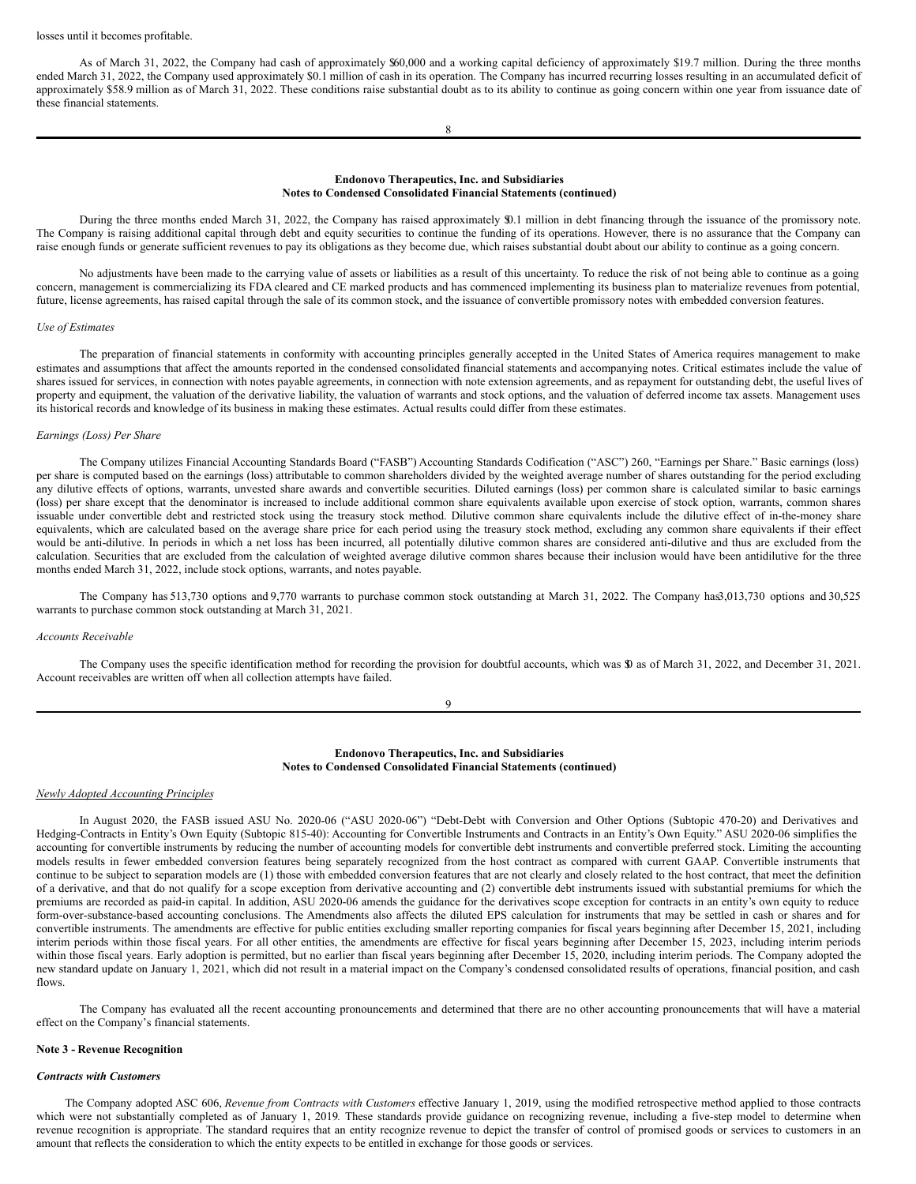#### losses until it becomes profitable.

As of March 31, 2022, the Company had cash of approximately \$60,000 and a working capital deficiency of approximately \$19.7 million. During the three months ended March 31, 2022, the Company used approximately \$0.1 million of cash in its operation. The Company has incurred recurring losses resulting in an accumulated deficit of approximately \$58.9 million as of March 31, 2022. These conditions raise substantial doubt as to its ability to continue as going concern within one year from issuance date of these financial statements.

8

#### **Endonovo Therapeutics, Inc. and Subsidiaries Notes to Condensed Consolidated Financial Statements (continued)**

During the three months ended March 31, 2022, the Company has raised approximately \$0.1 million in debt financing through the issuance of the promissory note. The Company is raising additional capital through debt and equity securities to continue the funding of its operations. However, there is no assurance that the Company can raise enough funds or generate sufficient revenues to pay its obligations as they become due, which raises substantial doubt about our ability to continue as a going concern.

No adjustments have been made to the carrying value of assets or liabilities as a result of this uncertainty. To reduce the risk of not being able to continue as a going concern, management is commercializing its FDA cleared and CE marked products and has commenced implementing its business plan to materialize revenues from potential, future, license agreements, has raised capital through the sale of its common stock, and the issuance of convertible promissory notes with embedded conversion features.

## *Use of Estimates*

The preparation of financial statements in conformity with accounting principles generally accepted in the United States of America requires management to make estimates and assumptions that affect the amounts reported in the condensed consolidated financial statements and accompanying notes. Critical estimates include the value of shares issued for services, in connection with notes payable agreements, in connection with note extension agreements, and as repayment for outstanding debt, the useful lives of property and equipment, the valuation of the derivative liability, the valuation of warrants and stock options, and the valuation of deferred income tax assets. Management uses its historical records and knowledge of its business in making these estimates. Actual results could differ from these estimates.

## *Earnings (Loss) Per Share*

The Company utilizes Financial Accounting Standards Board ("FASB") Accounting Standards Codification ("ASC") 260, "Earnings per Share." Basic earnings (loss) per share is computed based on the earnings (loss) attributable to common shareholders divided by the weighted average number of shares outstanding for the period excluding any dilutive effects of options, warrants, unvested share awards and convertible securities. Diluted earnings (loss) per common share is calculated similar to basic earnings (loss) per share except that the denominator is increased to include additional common share equivalents available upon exercise of stock option, warrants, common shares issuable under convertible debt and restricted stock using the treasury stock method. Dilutive common share equivalents include the dilutive effect of in-the-money share equivalents, which are calculated based on the average share price for each period using the treasury stock method, excluding any common share equivalents if their effect would be anti-dilutive. In periods in which a net loss has been incurred, all potentially dilutive common shares are considered anti-dilutive and thus are excluded from the calculation. Securities that are excluded from the calculation of weighted average dilutive common shares because their inclusion would have been antidilutive for the three months ended March 31, 2022, include stock options, warrants, and notes payable.

The Company has 513,730 options and 9,770 warrants to purchase common stock outstanding at March 31, 2022. The Company has3,013,730 options and 30,525 warrants to purchase common stock outstanding at March 31, 2021.

#### *Accounts Receivable*

The Company uses the specific identification method for recording the provision for doubtful accounts, which was \$0 as of March 31, 2022, and December 31, 2021. Account receivables are written off when all collection attempts have failed.

#### 9

## **Endonovo Therapeutics, Inc. and Subsidiaries Notes to Condensed Consolidated Financial Statements (continued)**

#### *Newly Adopted Accounting Principles*

In August 2020, the FASB issued ASU No. 2020-06 ("ASU 2020-06") "Debt-Debt with Conversion and Other Options (Subtopic 470-20) and Derivatives and Hedging-Contracts in Entity's Own Equity (Subtopic 815-40): Accounting for Convertible Instruments and Contracts in an Entity's Own Equity." ASU 2020-06 simplifies the accounting for convertible instruments by reducing the number of accounting models for convertible debt instruments and convertible preferred stock. Limiting the accounting models results in fewer embedded conversion features being separately recognized from the host contract as compared with current GAAP. Convertible instruments that continue to be subject to separation models are (1) those with embedded conversion features that are not clearly and closely related to the host contract, that meet the definition of a derivative, and that do not qualify for a scope exception from derivative accounting and (2) convertible debt instruments issued with substantial premiums for which the premiums are recorded as paid-in capital. In addition, ASU 2020-06 amends the guidance for the derivatives scope exception for contracts in an entity's own equity to reduce form-over-substance-based accounting conclusions. The Amendments also affects the diluted EPS calculation for instruments that may be settled in cash or shares and for convertible instruments. The amendments are effective for public entities excluding smaller reporting companies for fiscal years beginning after December 15, 2021, including interim periods within those fiscal years. For all other entities, the amendments are effective for fiscal years beginning after December 15, 2023, including interim periods within those fiscal years. Early adoption is permitted, but no earlier than fiscal years beginning after December 15, 2020, including interim periods. The Company adopted the new standard update on January 1, 2021, which did not result in a material impact on the Company's condensed consolidated results of operations, financial position, and cash flows.

The Company has evaluated all the recent accounting pronouncements and determined that there are no other accounting pronouncements that will have a material effect on the Company's financial statements.

## **Note 3 - Revenue Recognition**

#### *Contracts with Customers*

The Company adopted ASC 606, *Revenue from Contracts with Customers* effective January 1, 2019, using the modified retrospective method applied to those contracts which were not substantially completed as of January 1, 2019. These standards provide guidance on recognizing revenue, including a five-step model to determine when revenue recognition is appropriate. The standard requires that an entity recognize revenue to depict the transfer of control of promised goods or services to customers in an amount that reflects the consideration to which the entity expects to be entitled in exchange for those goods or services.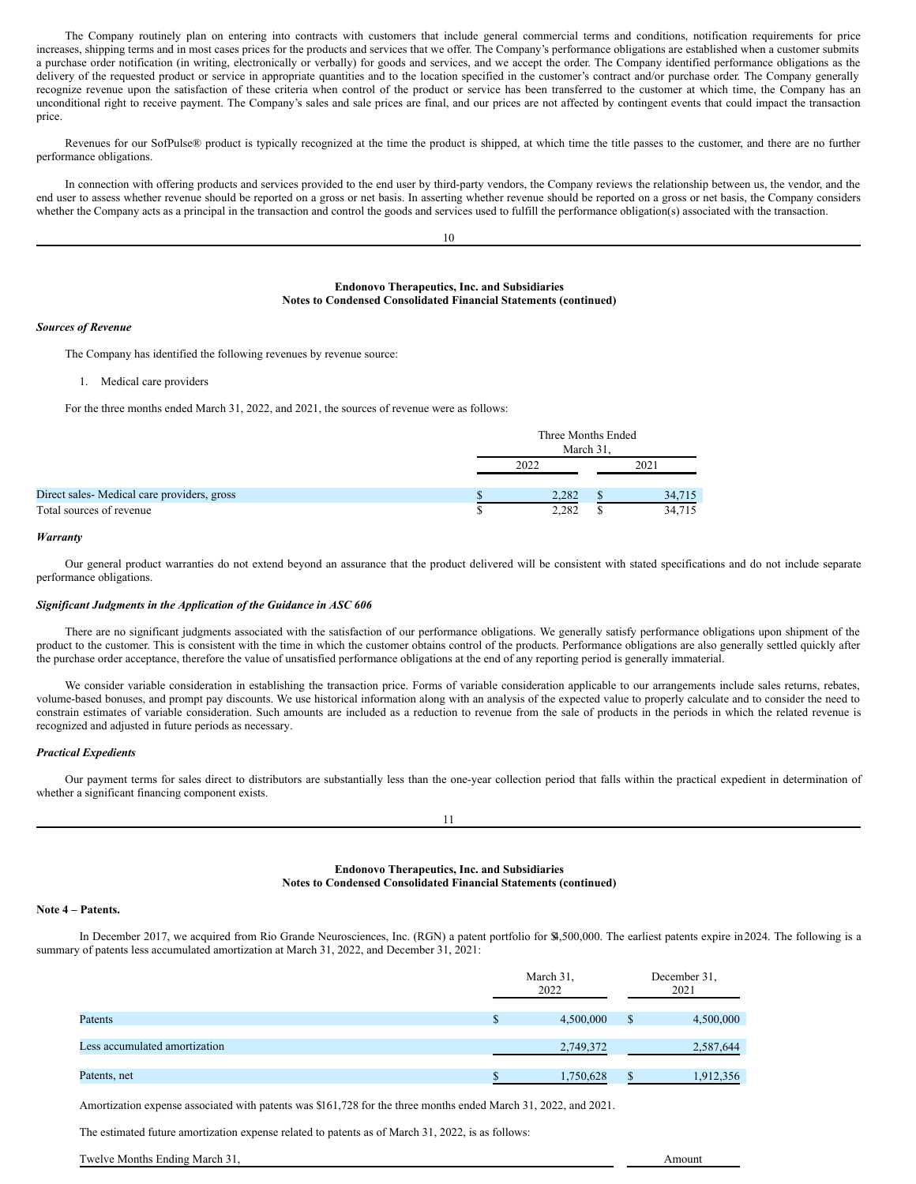The Company routinely plan on entering into contracts with customers that include general commercial terms and conditions, notification requirements for price increases, shipping terms and in most cases prices for the products and services that we offer. The Company's performance obligations are established when a customer submits a purchase order notification (in writing, electronically or verbally) for goods and services, and we accept the order. The Company identified performance obligations as the delivery of the requested product or service in appropriate quantities and to the location specified in the customer's contract and/or purchase order. The Company generally recognize revenue upon the satisfaction of these criteria when control of the product or service has been transferred to the customer at which time, the Company has an unconditional right to receive payment. The Company's sales and sale prices are final, and our prices are not affected by contingent events that could impact the transaction price.

Revenues for our SofPulse® product is typically recognized at the time the product is shipped, at which time the title passes to the customer, and there are no further performance obligations.

In connection with offering products and services provided to the end user by third-party vendors, the Company reviews the relationship between us, the vendor, and the end user to assess whether revenue should be reported on a gross or net basis. In asserting whether revenue should be reported on a gross or net basis, the Company considers whether the Company acts as a principal in the transaction and control the goods and services used to fulfill the performance obligation(s) associated with the transaction.

10

## **Endonovo Therapeutics, Inc. and Subsidiaries Notes to Condensed Consolidated Financial Statements (continued)**

## *Sources of Revenue*

The Company has identified the following revenues by revenue source:

1. Medical care providers

For the three months ended March 31, 2022, and 2021, the sources of revenue were as follows:

|                                            | Three Months Ended<br>March 31. |        |
|--------------------------------------------|---------------------------------|--------|
|                                            | 2022                            | 2021   |
| Direct sales-Medical care providers, gross | 2.282                           | 34.715 |
| Total sources of revenue                   | 2.282                           | 34,715 |

#### *Warranty*

Our general product warranties do not extend beyond an assurance that the product delivered will be consistent with stated specifications and do not include separate performance obligations.

#### *Significant Judgments in the Application of the Guidance in ASC 606*

There are no significant judgments associated with the satisfaction of our performance obligations. We generally satisfy performance obligations upon shipment of the product to the customer. This is consistent with the time in which the customer obtains control of the products. Performance obligations are also generally settled quickly after the purchase order acceptance, therefore the value of unsatisfied performance obligations at the end of any reporting period is generally immaterial.

We consider variable consideration in establishing the transaction price. Forms of variable consideration applicable to our arrangements include sales returns, rebates, volume-based bonuses, and prompt pay discounts. We use historical information along with an analysis of the expected value to properly calculate and to consider the need to constrain estimates of variable consideration. Such amounts are included as a reduction to revenue from the sale of products in the periods in which the related revenue is recognized and adjusted in future periods as necessary.

## *Practical Expedients*

Our payment terms for sales direct to distributors are substantially less than the one-year collection period that falls within the practical expedient in determination of whether a significant financing component exists.

11

## **Endonovo Therapeutics, Inc. and Subsidiaries Notes to Condensed Consolidated Financial Statements (continued)**

#### **Note 4 – Patents.**

In December 2017, we acquired from Rio Grande Neurosciences, Inc. (RGN) a patent portfolio for \$4,500,000. The earliest patents expire in2024. The following is a summary of patents less accumulated amortization at March 31, 2022, and December 31, 2021:

|                               |   | March 31,<br>2022 | December 31,<br>2021 |           |  |
|-------------------------------|---|-------------------|----------------------|-----------|--|
| Patents                       | S | 4,500,000         | \$                   | 4,500,000 |  |
| Less accumulated amortization |   | 2,749,372         |                      | 2,587,644 |  |
| Patents, net                  |   | 1,750,628         | D                    | 1,912,356 |  |

Amortization expense associated with patents was \$161,728 for the three months ended March 31, 2022, and 2021.

The estimated future amortization expense related to patents as of March 31, 2022, is as follows:

Twelve Months Ending March 31, Amount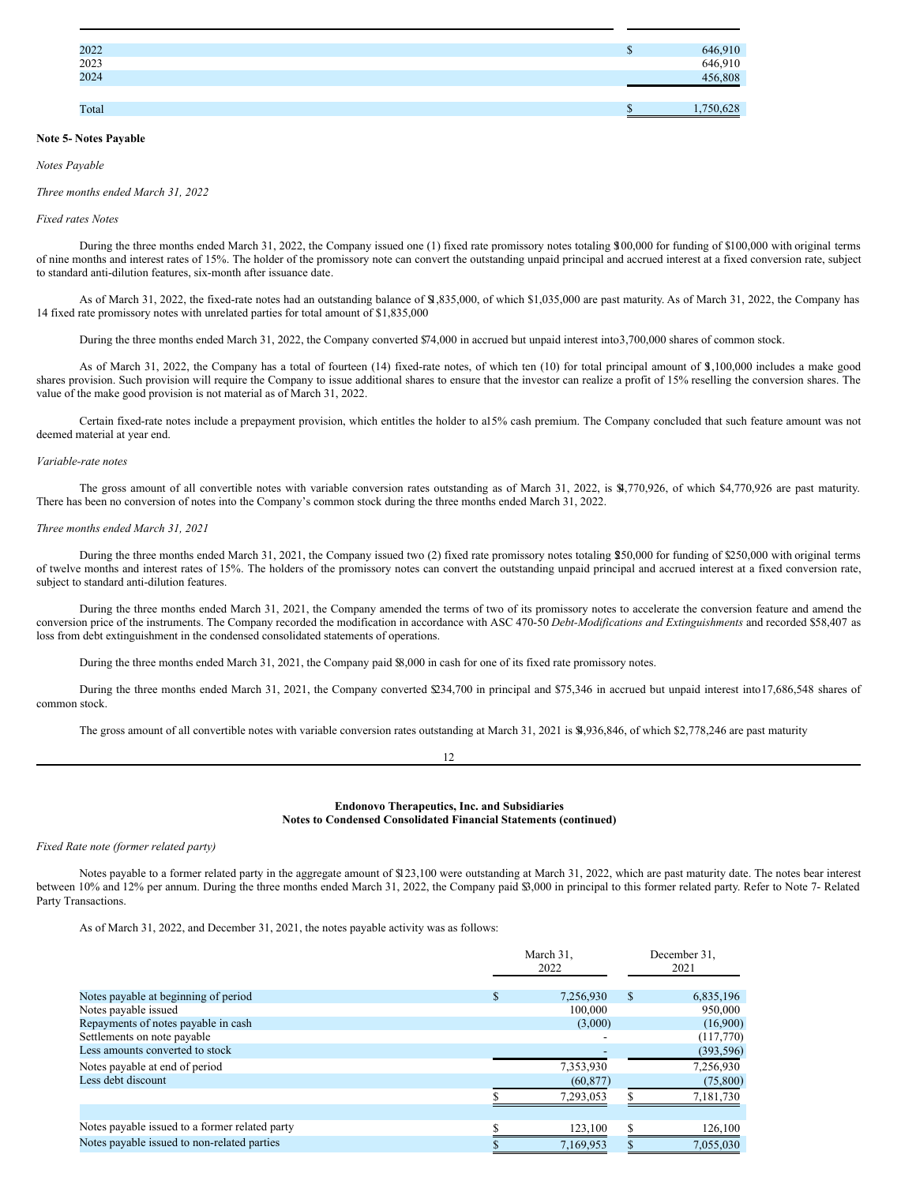|                      | D | 646,910   |
|----------------------|---|-----------|
| 2022<br>2023<br>2024 |   | 646,910   |
|                      |   | 456,808   |
|                      |   |           |
| Total                |   | 1,750,628 |
|                      |   |           |

## **Note 5- Notes Payable**

## *Notes Payable*

#### *Three months ended March 31, 2022*

## *Fixed rates Notes*

During the three months ended March 31, 2022, the Company issued one (1) fixed rate promissory notes totaling \$00,000 for funding of \$100,000 with original terms of nine months and interest rates of 15%. The holder of the promissory note can convert the outstanding unpaid principal and accrued interest at a fixed conversion rate, subject to standard anti-dilution features, six-month after issuance date.

As of March 31, 2022, the fixed-rate notes had an outstanding balance of \$1,835,000, of which \$1,035,000 are past maturity. As of March 31, 2022, the Company has 14 fixed rate promissory notes with unrelated parties for total amount of \$1,835,000

During the three months ended March 31, 2022, the Company converted \$74,000 in accrued but unpaid interest into3,700,000 shares of common stock.

As of March 31, 2022, the Company has a total of fourteen (14) fixed-rate notes, of which ten (10) for total principal amount of \$1,100,000 includes a make good shares provision. Such provision will require the Company to issue additional shares to ensure that the investor can realize a profit of 15% reselling the conversion shares. The value of the make good provision is not material as of March 31, 2022.

Certain fixed-rate notes include a prepayment provision, which entitles the holder to a15% cash premium. The Company concluded that such feature amount was not deemed material at year end.

#### *Variable-rate notes*

The gross amount of all convertible notes with variable conversion rates outstanding as of March 31, 2022, is \$4,770,926, of which \$4,770,926 are past maturity. There has been no conversion of notes into the Company's common stock during the three months ended March 31, 2022.

## *Three months ended March 31, 2021*

During the three months ended March 31, 2021, the Company issued two (2) fixed rate promissory notes totaling \$50,000 for funding of \$250,000 with original terms of twelve months and interest rates of 15%. The holders of the promissory notes can convert the outstanding unpaid principal and accrued interest at a fixed conversion rate, subject to standard anti-dilution features.

During the three months ended March 31, 2021, the Company amended the terms of two of its promissory notes to accelerate the conversion feature and amend the conversion price of the instruments. The Company recorded the modification in accordance with ASC 470-50 *Debt-Modifications and Extinguishments* and recorded \$58,407 as loss from debt extinguishment in the condensed consolidated statements of operations.

During the three months ended March 31, 2021, the Company paid \$8,000 in cash for one of its fixed rate promissory notes.

During the three months ended March 31, 2021, the Company converted \$234,700 in principal and \$75,346 in accrued but unpaid interest into17,686,548 shares of common stock.

The gross amount of all convertible notes with variable conversion rates outstanding at March 31, 2021 is \$4,936,846, of which \$2,778,246 are past maturity

12

#### **Endonovo Therapeutics, Inc. and Subsidiaries Notes to Condensed Consolidated Financial Statements (continued)**

*Fixed Rate note (former related party)*

Notes payable to a former related party in the aggregate amount of \$123,100 were outstanding at March 31, 2022, which are past maturity date. The notes bear interest between 10% and 12% per annum. During the three months ended March 31, 2022, the Company paid \$3,000 in principal to this former related party. Refer to Note 7- Related Party Transactions.

As of March 31, 2022, and December 31, 2021, the notes payable activity was as follows:

|                                                |               | March 31,<br>2022 | December 31,<br>2021 |            |  |
|------------------------------------------------|---------------|-------------------|----------------------|------------|--|
| Notes payable at beginning of period           | $\mathcal{S}$ | 7,256,930         | S                    | 6,835,196  |  |
| Notes payable issued                           |               | 100,000           |                      | 950,000    |  |
| Repayments of notes payable in cash            |               | (3,000)           |                      | (16,900)   |  |
| Settlements on note payable                    |               |                   |                      | (117,770)  |  |
| Less amounts converted to stock                |               |                   |                      | (393, 596) |  |
| Notes payable at end of period                 |               | 7,353,930         |                      | 7,256,930  |  |
| Less debt discount                             |               | (60, 877)         |                      | (75,800)   |  |
|                                                |               | 7,293,053         |                      | 7,181,730  |  |
|                                                |               |                   |                      |            |  |
| Notes payable issued to a former related party |               | 123,100           | S                    | 126,100    |  |
| Notes payable issued to non-related parties    |               | 7.169.953         |                      | 7.055.030  |  |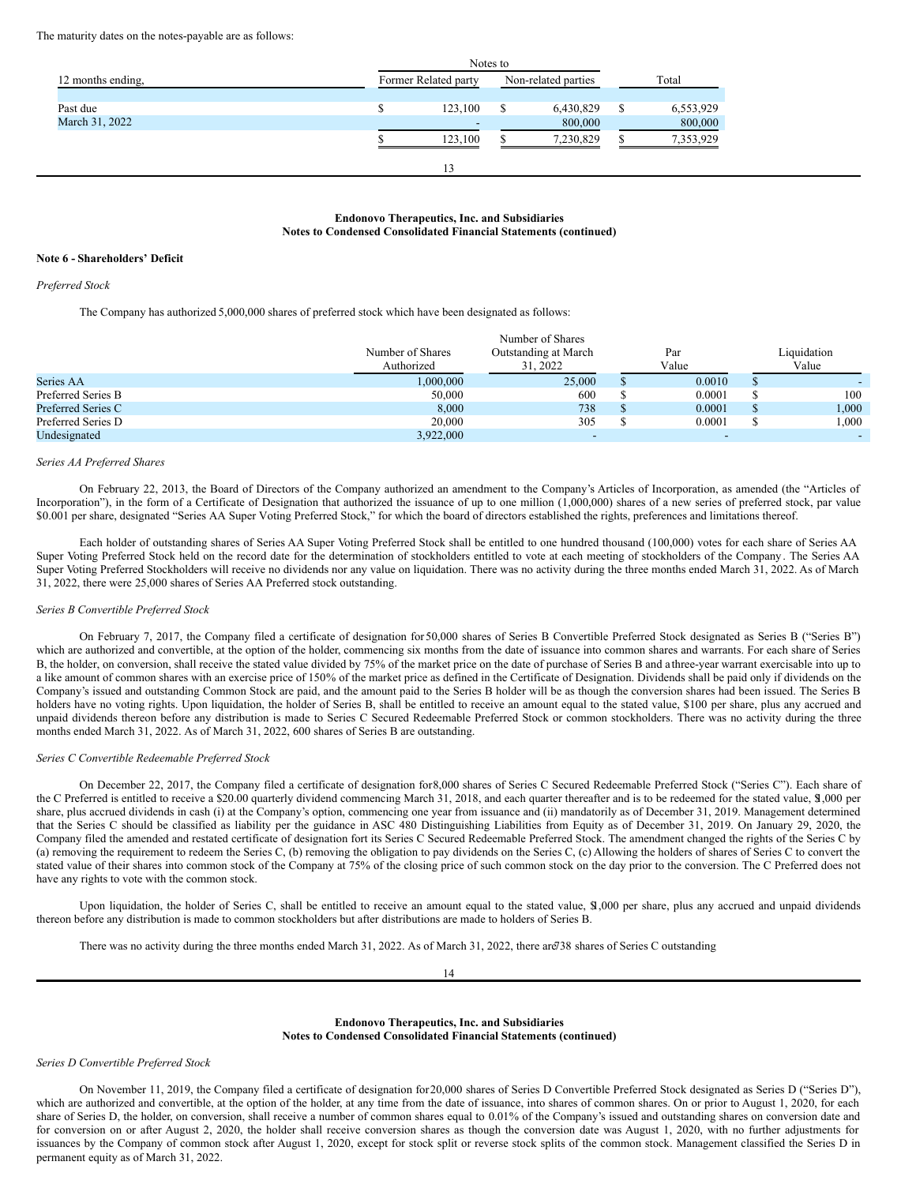The maturity dates on the notes-payable are as follows:

| 12 months ending, |  | Former Related party     |   | Non-related parties |   | Total     |
|-------------------|--|--------------------------|---|---------------------|---|-----------|
| Past due          |  | 123,100                  | S | 6,430,829           | D | 6,553,929 |
| March 31, 2022    |  | $\overline{\phantom{a}}$ |   | 800,000             |   | 800,000   |
|                   |  | 123.100                  |   | 7,230,829           |   | 7,353,929 |
|                   |  | 13                       |   |                     |   |           |

## **Endonovo Therapeutics, Inc. and Subsidiaries Notes to Condensed Consolidated Financial Statements (continued)**

#### **Note 6 - Shareholders' Deficit**

*Preferred Stock*

The Company has authorized 5,000,000 shares of preferred stock which have been designated as follows:

|                    |                  | Number of Shares     |     |        |             |
|--------------------|------------------|----------------------|-----|--------|-------------|
|                    | Number of Shares | Outstanding at March | Par |        | Liquidation |
|                    | Authorized       | 31, 2022             |     | Value  | Value       |
| Series AA          | 000,000.         | 25,000               |     | 0.0010 |             |
| Preferred Series B | 50,000           | 600                  |     | 0.0001 | 100         |
| Preferred Series C | 8,000            | 738                  |     | 0.0001 | 1,000       |
| Preferred Series D | 20,000           | 305                  |     | 0.0001 | 1,000       |
| Undesignated       | 3,922,000        |                      |     |        |             |

## *Series AA Preferred Shares*

On February 22, 2013, the Board of Directors of the Company authorized an amendment to the Company's Articles of Incorporation, as amended (the "Articles of Incorporation"), in the form of a Certificate of Designation that authorized the issuance of up to one million (1,000,000) shares of a new series of preferred stock, par value \$0.001 per share, designated "Series AA Super Voting Preferred Stock," for which the board of directors established the rights, preferences and limitations thereof.

Each holder of outstanding shares of Series AA Super Voting Preferred Stock shall be entitled to one hundred thousand (100,000) votes for each share of Series AA Super Voting Preferred Stock held on the record date for the determination of stockholders entitled to vote at each meeting of stockholders of the Company . The Series AA Super Voting Preferred Stockholders will receive no dividends nor any value on liquidation. There was no activity during the three months ended March 31, 2022. As of March 31, 2022, there were 25,000 shares of Series AA Preferred stock outstanding.

#### *Series B Convertible Preferred Stock*

On February 7, 2017, the Company filed a certificate of designation for 50,000 shares of Series B Convertible Preferred Stock designated as Series B ("Series B") which are authorized and convertible, at the option of the holder, commencing six months from the date of issuance into common shares and warrants. For each share of Series B, the holder, on conversion, shall receive the stated value divided by 75% of the market price on the date of purchase of Series B and a three-year warrant exercisable into up to a like amount of common shares with an exercise price of 150% of the market price as defined in the Certificate of Designation. Dividends shall be paid only if dividends on the Company's issued and outstanding Common Stock are paid, and the amount paid to the Series B holder will be as though the conversion shares had been issued. The Series B holders have no voting rights. Upon liquidation, the holder of Series B, shall be entitled to receive an amount equal to the stated value, \$100 per share, plus any accrued and unpaid dividends thereon before any distribution is made to Series C Secured Redeemable Preferred Stock or common stockholders. There was no activity during the three months ended March 31, 2022. As of March 31, 2022, 600 shares of Series B are outstanding.

#### *Series C Convertible Redeemable Preferred Stock*

On December 22, 2017, the Company filed a certificate of designation for 8,000 shares of Series C Secured Redeemable Preferred Stock ("Series C"). Each share of the C Preferred is entitled to receive a \$20.00 quarterly dividend commencing March 31, 2018, and each quarter thereafter and is to be redeemed for the stated value, \$,000 per share, plus accrued dividends in cash (i) at the Company's option, commencing one year from issuance and (ii) mandatorily as of December 31, 2019. Management determined that the Series C should be classified as liability per the guidance in ASC 480 Distinguishing Liabilities from Equity as of December 31, 2019. On January 29, 2020, the Company filed the amended and restated certificate of designation fort its Series C Secured Redeemable Preferred Stock. The amendment changed the rights of the Series C by (a) removing the requirement to redeem the Series C, (b) removing the obligation to pay dividends on the Series C, (c) Allowing the holders of shares of Series C to convert the stated value of their shares into common stock of the Company at 75% of the closing price of such common stock on the day prior to the conversion. The C Preferred does not have any rights to vote with the common stock.

Upon liquidation, the holder of Series C, shall be entitled to receive an amount equal to the stated value, \$1,000 per share, plus any accrued and unpaid dividends thereon before any distribution is made to common stockholders but after distributions are made to holders of Series B.

There was no activity during the three months ended March 31, 2022. As of March 31, 2022, there are738 shares of Series C outstanding

14

#### **Endonovo Therapeutics, Inc. and Subsidiaries Notes to Condensed Consolidated Financial Statements (continued)**

#### *Series D Convertible Preferred Stock*

On November 11, 2019, the Company filed a certificate of designation for20,000 shares of Series D Convertible Preferred Stock designated as Series D ("Series D"), which are authorized and convertible, at the option of the holder, at any time from the date of issuance, into shares of common shares. On or prior to August 1, 2020, for each share of Series D, the holder, on conversion, shall receive a number of common shares equal to 0.01% of the Company's issued and outstanding shares on conversion date and for conversion on or after August 2, 2020, the holder shall receive conversion shares as though the conversion date was August 1, 2020, with no further adjustments for issuances by the Company of common stock after August 1, 2020, except for stock split or reverse stock splits of the common stock. Management classified the Series D in permanent equity as of March 31, 2022.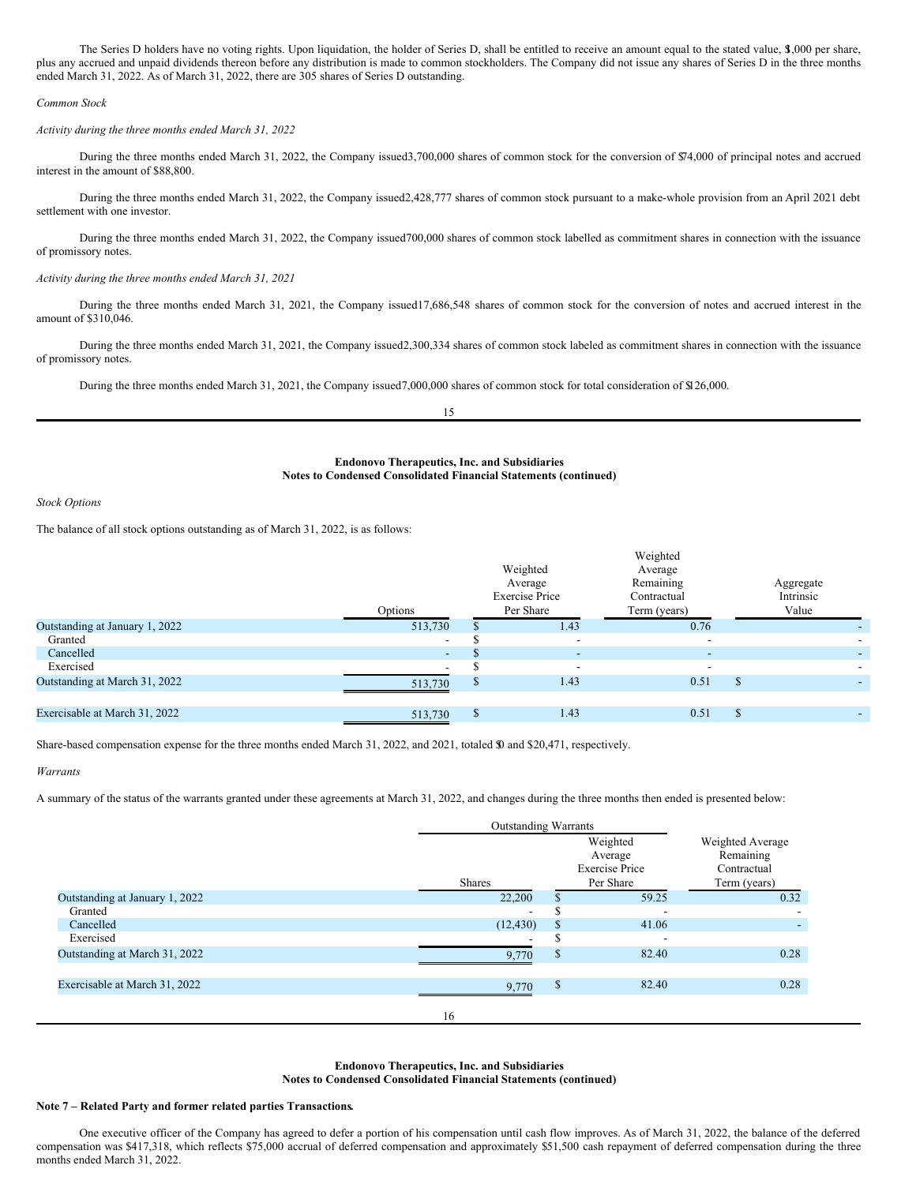The Series D holders have no voting rights. Upon liquidation, the holder of Series D, shall be entitled to receive an amount equal to the stated value, \$,000 per share, plus any accrued and unpaid dividends thereon before any distribution is made to common stockholders. The Company did not issue any shares of Series D in the three months ended March 31, 2022. As of March 31, 2022, there are 305 shares of Series D outstanding.

#### *Common Stock*

## *Activity during the three months ended March 31, 2022*

During the three months ended March 31, 2022, the Company issued3,700,000 shares of common stock for the conversion of \$74,000 of principal notes and accrued interest in the amount of \$88,800.

During the three months ended March 31, 2022, the Company issued2,428,777 shares of common stock pursuant to a make-whole provision from an April 2021 debt settlement with one investor.

During the three months ended March 31, 2022, the Company issued700,000 shares of common stock labelled as commitment shares in connection with the issuance of promissory notes.

#### *Activity during the three months ended March 31, 2021*

During the three months ended March 31, 2021, the Company issued17,686,548 shares of common stock for the conversion of notes and accrued interest in the amount of \$310,046.

During the three months ended March 31, 2021, the Company issued2,300,334 shares of common stock labeled as commitment shares in connection with the issuance of promissory notes.

During the three months ended March 31, 2021, the Company issued7,000,000 shares of common stock for total consideration of \$126,000.

15

## **Endonovo Therapeutics, Inc. and Subsidiaries Notes to Condensed Consolidated Financial Statements (continued)**

*Stock Options*

The balance of all stock options outstanding as of March 31, 2022, is as follows:

|                                |                          |   |                          | Weighted                 |     |           |  |
|--------------------------------|--------------------------|---|--------------------------|--------------------------|-----|-----------|--|
|                                |                          |   | Weighted                 | Average                  |     |           |  |
|                                |                          |   | Average                  | Remaining                |     | Aggregate |  |
|                                |                          |   | <b>Exercise Price</b>    | Contractual              |     | Intrinsic |  |
|                                | Options                  |   | Per Share                | Term (years)             |     | Value     |  |
| Outstanding at January 1, 2022 | 513,730                  |   | 1.43                     | 0.76                     |     |           |  |
| Granted                        | -                        |   | $\overline{\phantom{a}}$ | $\overline{\phantom{a}}$ |     |           |  |
| Cancelled                      | $\overline{\phantom{0}}$ |   |                          | -                        |     |           |  |
| Exercised                      |                          |   | $\overline{\phantom{a}}$ | $\overline{\phantom{a}}$ |     |           |  |
| Outstanding at March 31, 2022  | 513,730                  | S | 1.43                     | 0.51                     | \$. |           |  |
|                                |                          |   |                          |                          |     |           |  |
| Exercisable at March 31, 2022  | 513,730                  | S | 1.43                     | 0.51                     | ٠D  |           |  |

Share-based compensation expense for the three months ended March 31, 2022, and 2021, totaled \$0 and \$20,471, respectively.

*Warrants*

A summary of the status of the warrants granted under these agreements at March 31, 2022, and changes during the three months then ended is presented below:

|                                | <b>Outstanding Warrants</b> |                    |                                                           |                                                              |
|--------------------------------|-----------------------------|--------------------|-----------------------------------------------------------|--------------------------------------------------------------|
|                                | <b>Shares</b>               |                    | Weighted<br>Average<br><b>Exercise Price</b><br>Per Share | Weighted Average<br>Remaining<br>Contractual<br>Term (years) |
| Outstanding at January 1, 2022 | 22,200                      | $\mathbf{\hat{S}}$ | 59.25                                                     | 0.32                                                         |
| Granted                        | $\overline{\phantom{a}}$    | J.                 | $\overline{\phantom{a}}$                                  |                                                              |
| Cancelled                      | (12, 430)                   | $\mathcal{S}$      | 41.06                                                     | $\overline{\phantom{a}}$                                     |
| Exercised                      |                             | ۰.                 | $\overline{\phantom{a}}$                                  |                                                              |
| Outstanding at March 31, 2022  | 9,770                       | \$                 | 82.40                                                     | 0.28                                                         |
|                                |                             |                    |                                                           |                                                              |
| Exercisable at March 31, 2022  | 9,770                       | \$                 | 82.40                                                     | 0.28                                                         |
|                                | 16                          |                    |                                                           |                                                              |

#### **Endonovo Therapeutics, Inc. and Subsidiaries Notes to Condensed Consolidated Financial Statements (continued)**

#### **Note 7 – Related Party and former related parties Transactions.**

One executive officer of the Company has agreed to defer a portion of his compensation until cash flow improves. As of March 31, 2022, the balance of the deferred compensation was \$417,318, which reflects \$75,000 accrual of deferred compensation and approximately \$51,500 cash repayment of deferred compensation during the three months ended March 31, 2022.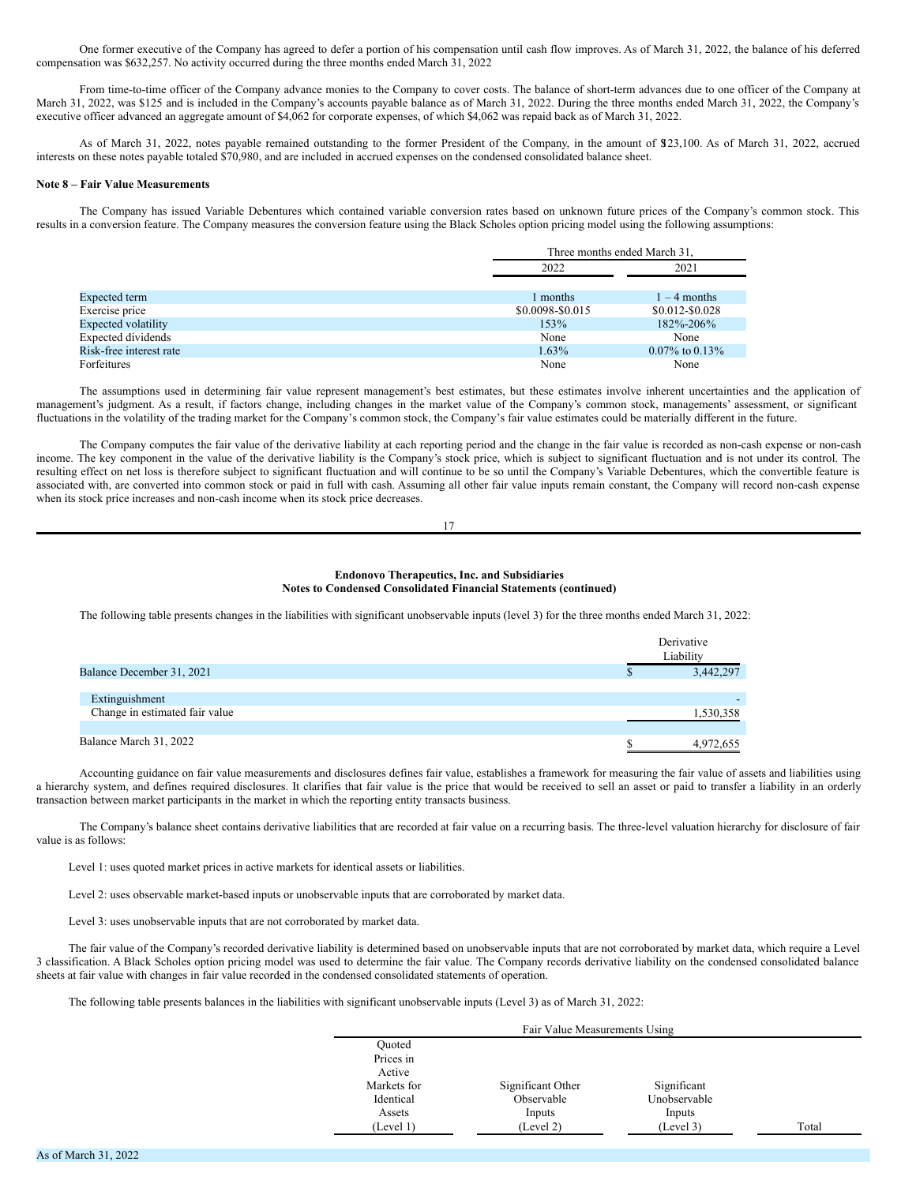One former executive of the Company has agreed to defer a portion of his compensation until cash flow improves. As of March 31, 2022, the balance of his deferred compensation was \$632,257. No activity occurred during the three months ended March 31, 2022

From time-to-time officer of the Company advance monies to the Company to cover costs. The balance of short-term advances due to one officer of the Company at March 31, 2022, was \$125 and is included in the Company's accounts payable balance as of March 31, 2022. During the three months ended March 31, 2022, the Company's executive officer advanced an aggregate amount of \$4,062 for corporate expenses, of which \$4,062 was repaid back as of March 31, 2022.

As of March 31, 2022, notes payable remained outstanding to the former President of the Company, in the amount of \$123,100. As of March 31, 2022, accrued interests on these notes payable totaled \$70,980, and are included in accrued expenses on the condensed consolidated balance sheet.

#### **Note 8 – Fair Value Measurements**

The Company has issued Variable Debentures which contained variable conversion rates based on unknown future prices of the Company's common stock. This results in a conversion feature. The Company measures the conversion feature using the Black Scholes option pricing model using the following assumptions:

|                            | Three months ended March 31. |                      |
|----------------------------|------------------------------|----------------------|
|                            | 2022                         | 2021                 |
|                            |                              |                      |
| Expected term              | 1 months                     | $1 - 4$ months       |
| Exercise price             | \$0.0098-\$0.015             | \$0.012-\$0.028      |
| <b>Expected volatility</b> | 153%                         | $182\% - 206\%$      |
| Expected dividends         | None                         | None                 |
| Risk-free interest rate    | $1.63\%$                     | $0.07\%$ to $0.13\%$ |
| Forfeitures                | None                         | None                 |

The assumptions used in determining fair value represent management's best estimates, but these estimates involve inherent uncertainties and the application of management's judgment. As a result, if factors change, including changes in the market value of the Company's common stock, managements' assessment, or significant fluctuations in the volatility of the trading market for the Company's common stock, the Company's fair value estimates could be materially different in the future.

The Company computes the fair value of the derivative liability at each reporting period and the change in the fair value is recorded as non-cash expense or non-cash income. The key component in the value of the derivative liability is the Company's stock price, which is subject to significant fluctuation and is not under its control. The resulting effect on net loss is therefore subject to significant fluctuation and will continue to be so until the Company's Variable Debentures, which the convertible feature is associated with, are converted into common stock or paid in full with cash. Assuming all other fair value inputs remain constant, the Company will record non-cash expense when its stock price increases and non-cash income when its stock price decreases.

## **Endonovo Therapeutics, Inc. and Subsidiaries Notes to Condensed Consolidated Financial Statements (continued)**

The following table presents changes in the liabilities with significant unobservable inputs (level 3) for the three months ended March 31, 2022:

|                                | Derivative<br>Liability |
|--------------------------------|-------------------------|
| Balance December 31, 2021      | 3,442,297               |
|                                |                         |
| Extinguishment                 |                         |
| Change in estimated fair value | 1,530,358               |
|                                |                         |
| Balance March 31, 2022         | 4.972.655               |

Accounting guidance on fair value measurements and disclosures defines fair value, establishes a framework for measuring the fair value of assets and liabilities using a hierarchy system, and defines required disclosures. It clarifies that fair value is the price that would be received to sell an asset or paid to transfer a liability in an orderly transaction between market participants in the market in which the reporting entity transacts business.

The Company's balance sheet contains derivative liabilities that are recorded at fair value on a recurring basis. The three-level valuation hierarchy for disclosure of fair value is as follows:

Level 1: uses quoted market prices in active markets for identical assets or liabilities.

Level 2: uses observable market-based inputs or unobservable inputs that are corroborated by market data.

Level 3: uses unobservable inputs that are not corroborated by market data.

The fair value of the Company's recorded derivative liability is determined based on unobservable inputs that are not corroborated by market data, which require a Level 3 classification. A Black Scholes option pricing model was used to determine the fair value. The Company records derivative liability on the condensed consolidated balance sheets at fair value with changes in fair value recorded in the condensed consolidated statements of operation.

The following table presents balances in the liabilities with significant unobservable inputs (Level 3) as of March 31, 2022:

| Fair Value Measurements Using |                   |              |       |  |  |  |
|-------------------------------|-------------------|--------------|-------|--|--|--|
| Ouoted                        |                   |              |       |  |  |  |
| Prices in                     |                   |              |       |  |  |  |
| Active                        |                   |              |       |  |  |  |
| Markets for                   | Significant Other | Significant  |       |  |  |  |
| Identical                     | Observable        | Unobservable |       |  |  |  |
| Assets                        | Inputs            | Inputs       |       |  |  |  |
| (Level 1)                     | (Level 2)         | (Level 3)    | Total |  |  |  |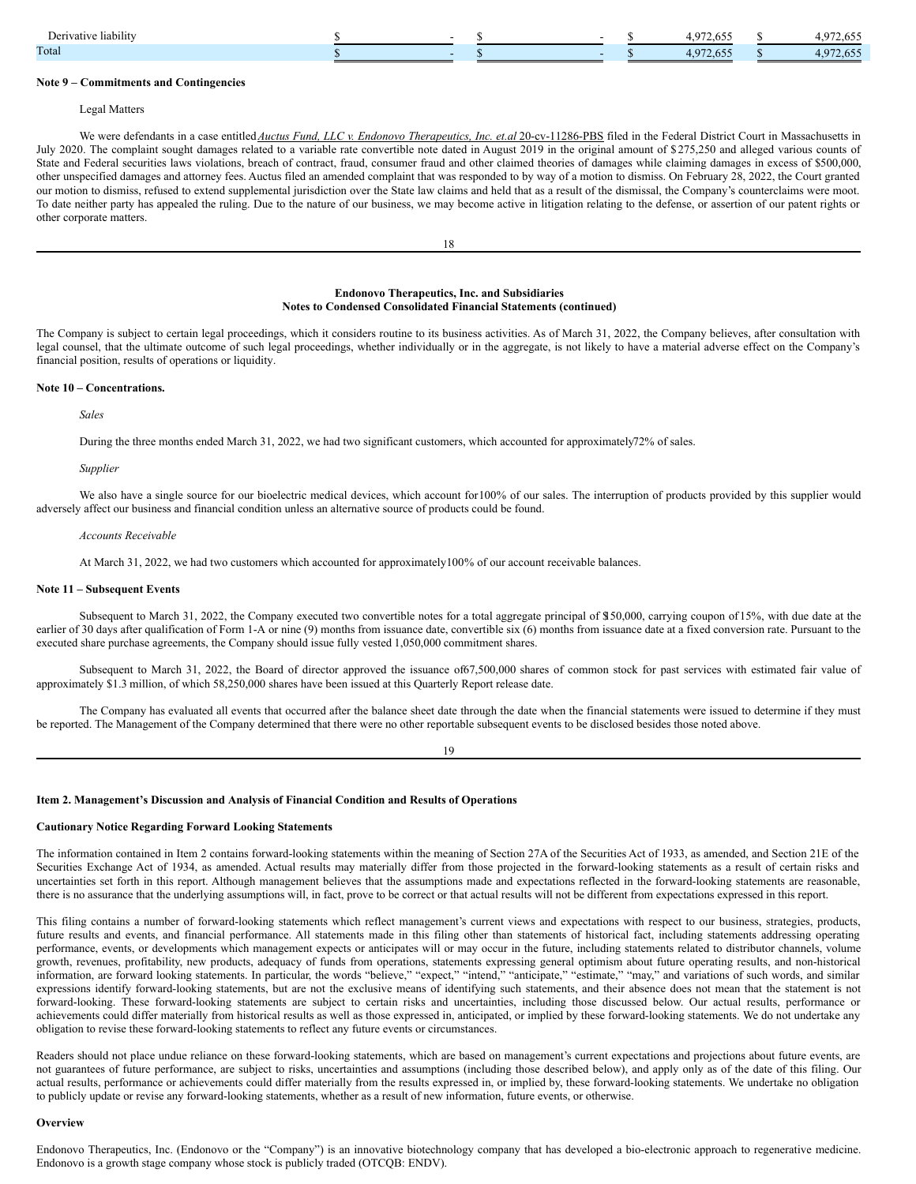| $\cdots$<br>liability<br>Jerivativo |  |  | $  -$<br>$\sim$<br>້⊷ີ | $\sim$ $\sim$ $\sim$<br>. .<br>$\sim\!\!-\!\!-\!\!-\!\!-\!\!-$<br>. |
|-------------------------------------|--|--|------------------------|---------------------------------------------------------------------|
| Total                               |  |  | .<br>$\sim$<br>---     | $\epsilon$ = $\epsilon$<br>2.03.<br>.                               |

## **Note 9 – Commitments and Contingencies**

Legal Matters

We were defendants in a case entitled*Auctus Fund, LLC v. Endonovo Therapeutics, Inc. et.al* 20-cv-11286-PBS filed in the Federal District Court in Massachusetts in July 2020. The complaint sought damages related to a variable rate convertible note dated in August 2019 in the original amount of \$275,250 and alleged various counts of State and Federal securities laws violations, breach of contract, fraud, consumer fraud and other claimed theories of damages while claiming damages in excess of \$500,000, other unspecified damages and attorney fees. Auctus filed an amended complaint that was responded to by way of a motion to dismiss. On February 28, 2022, the Court granted our motion to dismiss, refused to extend supplemental jurisdiction over the State law claims and held that as a result of the dismissal, the Company's counterclaims were moot. To date neither party has appealed the ruling. Due to the nature of our business, we may become active in litigation relating to the defense, or assertion of our patent rights or other corporate matters.

18

## **Endonovo Therapeutics, Inc. and Subsidiaries Notes to Condensed Consolidated Financial Statements (continued)**

The Company is subject to certain legal proceedings, which it considers routine to its business activities. As of March 31, 2022, the Company believes, after consultation with legal counsel, that the ultimate outcome of such legal proceedings, whether individually or in the aggregate, is not likely to have a material adverse effect on the Company's financial position, results of operations or liquidity.

## **Note 10 – Concentrations.**

## *Sales*

During the three months ended March 31, 2022, we had two significant customers, which accounted for approximately72% of sales.

#### *Supplier*

We also have a single source for our bioelectric medical devices, which account for 100% of our sales. The interruption of products provided by this supplier would adversely affect our business and financial condition unless an alternative source of products could be found.

#### *Accounts Receivable*

At March 31, 2022, we had two customers which accounted for approximately100% of our account receivable balances.

#### **Note 11 – Subsequent Events**

Subsequent to March 31, 2022, the Company executed two convertible notes for a total aggregate principal of \$50,000, carrying coupon of 15%, with due date at the earlier of 30 days after qualification of Form 1-A or nine (9) months from issuance date, convertible six (6) months from issuance date at a fixed conversion rate. Pursuant to the executed share purchase agreements, the Company should issue fully vested 1,050,000 commitment shares.

Subsequent to March 31, 2022, the Board of director approved the issuance of67,500,000 shares of common stock for past services with estimated fair value of approximately \$1.3 million, of which 58,250,000 shares have been issued at this Quarterly Report release date.

The Company has evaluated all events that occurred after the balance sheet date through the date when the financial statements were issued to determine if they must be reported. The Management of the Company determined that there were no other reportable subsequent events to be disclosed besides those noted above.

19

#### **Item 2. Management's Discussion and Analysis of Financial Condition and Results of Operations**

#### **Cautionary Notice Regarding Forward Looking Statements**

The information contained in Item 2 contains forward-looking statements within the meaning of Section 27A of the Securities Act of 1933, as amended, and Section 21E of the Securities Exchange Act of 1934, as amended. Actual results may materially differ from those projected in the forward-looking statements as a result of certain risks and uncertainties set forth in this report. Although management believes that the assumptions made and expectations reflected in the forward-looking statements are reasonable, there is no assurance that the underlying assumptions will, in fact, prove to be correct or that actual results will not be different from expectations expressed in this report.

This filing contains a number of forward-looking statements which reflect management's current views and expectations with respect to our business, strategies, products, future results and events, and financial performance. All statements made in this filing other than statements of historical fact, including statements addressing operating performance, events, or developments which management expects or anticipates will or may occur in the future, including statements related to distributor channels, volume growth, revenues, profitability, new products, adequacy of funds from operations, statements expressing general optimism about future operating results, and non-historical information, are forward looking statements. In particular, the words "believe," "expect," "intend," "anticipate," "estimate," "may," and variations of such words, and similar expressions identify forward-looking statements, but are not the exclusive means of identifying such statements, and their absence does not mean that the statement is not forward-looking. These forward-looking statements are subject to certain risks and uncertainties, including those discussed below. Our actual results, performance or achievements could differ materially from historical results as well as those expressed in, anticipated, or implied by these forward-looking statements. We do not undertake any obligation to revise these forward-looking statements to reflect any future events or circumstances.

Readers should not place undue reliance on these forward-looking statements, which are based on management's current expectations and projections about future events, are not guarantees of future performance, are subject to risks, uncertainties and assumptions (including those described below), and apply only as of the date of this filing. Our actual results, performance or achievements could differ materially from the results expressed in, or implied by, these forward-looking statements. We undertake no obligation to publicly update or revise any forward-looking statements, whether as a result of new information, future events, or otherwise.

## **Overview**

Endonovo Therapeutics, Inc. (Endonovo or the "Company") is an innovative biotechnology company that has developed a bio-electronic approach to regenerative medicine. Endonovo is a growth stage company whose stock is publicly traded (OTCQB: ENDV).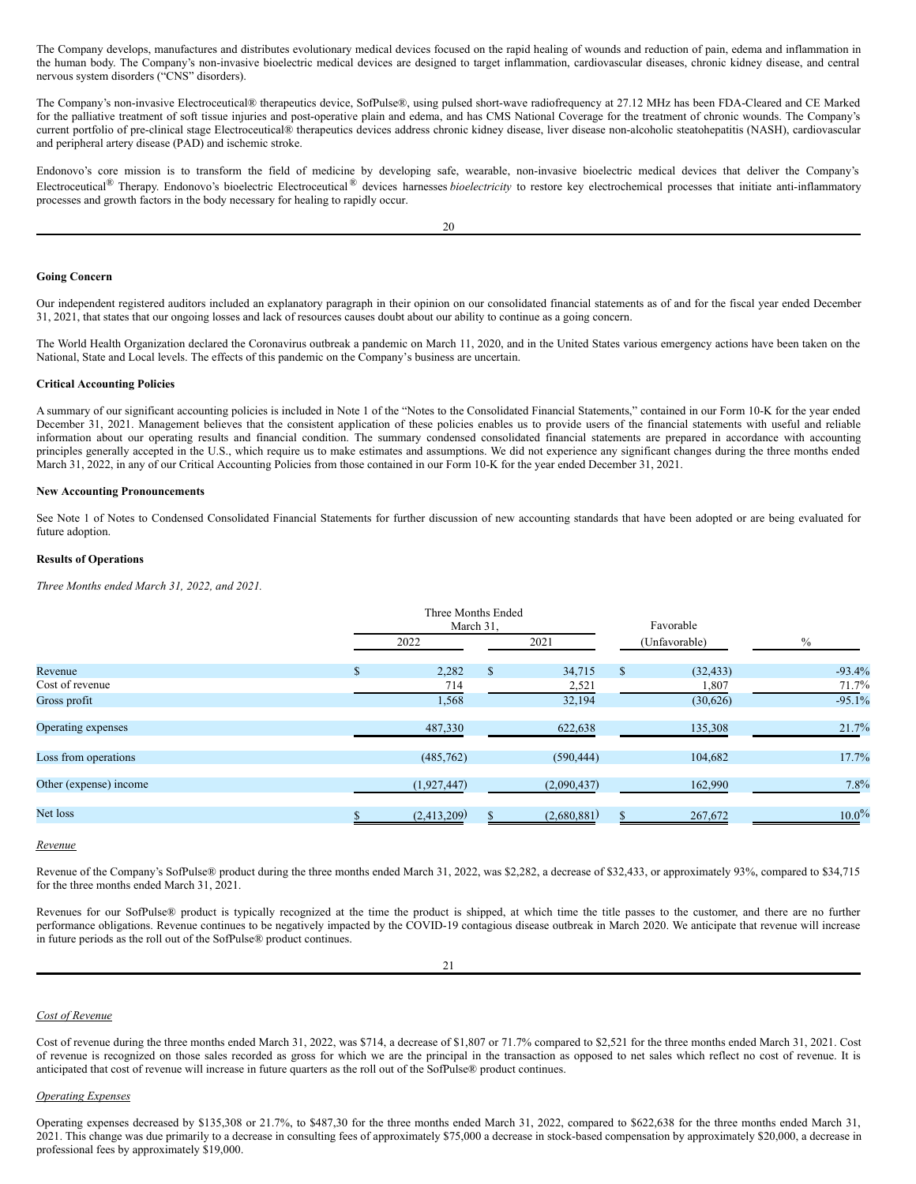The Company develops, manufactures and distributes evolutionary medical devices focused on the rapid healing of wounds and reduction of pain, edema and inflammation in the human body. The Company's non-invasive bioelectric medical devices are designed to target inflammation, cardiovascular diseases, chronic kidney disease, and central nervous system disorders ("CNS" disorders).

The Company's non-invasive Electroceutical® therapeutics device, SofPulse®, using pulsed short-wave radiofrequency at 27.12 MHz has been FDA-Cleared and CE Marked for the palliative treatment of soft tissue injuries and post-operative plain and edema, and has CMS National Coverage for the treatment of chronic wounds. The Company's current portfolio of pre-clinical stage Electroceutical® therapeutics devices address chronic kidney disease, liver disease non-alcoholic steatohepatitis (NASH), cardiovascular and peripheral artery disease (PAD) and ischemic stroke.

Endonovo's core mission is to transform the field of medicine by developing safe, wearable, non-invasive bioelectric medical devices that deliver the Company's Electroceutical<sup>®</sup> Therapy. Endonovo's bioelectric Electroceutical® devices harnesses *bioelectricity* to restore key electrochemical processes that initiate anti-inflammatory processes and growth factors in the body necessary for healing to rapidly occur.

## **Going Concern**

Our independent registered auditors included an explanatory paragraph in their opinion on our consolidated financial statements as of and for the fiscal year ended December 31, 2021, that states that our ongoing losses and lack of resources causes doubt about our ability to continue as a going concern.

The World Health Organization declared the Coronavirus outbreak a pandemic on March 11, 2020, and in the United States various emergency actions have been taken on the National, State and Local levels. The effects of this pandemic on the Company's business are uncertain.

## **Critical Accounting Policies**

A summary of our significant accounting policies is included in Note 1 of the "Notes to the Consolidated Financial Statements," contained in our Form 10-K for the year ended December 31, 2021. Management believes that the consistent application of these policies enables us to provide users of the financial statements with useful and reliable information about our operating results and financial condition. The summary condensed consolidated financial statements are prepared in accordance with accounting principles generally accepted in the U.S., which require us to make estimates and assumptions. We did not experience any significant changes during the three months ended March 31, 2022, in any of our Critical Accounting Policies from those contained in our Form 10-K for the year ended December 31, 2021.

#### **New Accounting Pronouncements**

See Note 1 of Notes to Condensed Consolidated Financial Statements for further discussion of new accounting standards that have been adopted or are being evaluated for future adoption.

#### **Results of Operations**

*Three Months ended March 31, 2022, and 2021.*

|                        |               | Three Months Ended<br>March 31, |               |             |              | Favorable     |               |  |
|------------------------|---------------|---------------------------------|---------------|-------------|--------------|---------------|---------------|--|
|                        |               | 2022                            |               | 2021        |              | (Unfavorable) | $\frac{0}{0}$ |  |
| Revenue                | <sup>\$</sup> | 2,282                           | <sup>\$</sup> | 34,715      | $\mathbb{S}$ | (32, 433)     | $-93.4%$      |  |
| Cost of revenue        |               | 714                             |               | 2,521       |              | 1,807         | 71.7%         |  |
| Gross profit           |               | 1,568                           |               | 32,194      |              | (30,626)      | $-95.1%$      |  |
| Operating expenses     |               | 487,330                         |               | 622,638     |              | 135,308       | 21.7%         |  |
| Loss from operations   |               | (485,762)                       |               | (590, 444)  |              | 104,682       | 17.7%         |  |
| Other (expense) income |               | (1,927,447)                     |               | (2,090,437) |              | 162,990       | 7.8%          |  |
| Net loss               |               | (2,413,209)                     |               | (2,680,881) |              | 267,672       | $10.0\%$      |  |

## *Revenue*

Revenue of the Company's SofPulse® product during the three months ended March 31, 2022, was \$2,282, a decrease of \$32,433, or approximately 93%, compared to \$34,715 for the three months ended March 31, 2021.

Revenues for our SofPulse® product is typically recognized at the time the product is shipped, at which time the title passes to the customer, and there are no further performance obligations. Revenue continues to be negatively impacted by the COVID-19 contagious disease outbreak in March 2020. We anticipate that revenue will increase in future periods as the roll out of the SofPulse® product continues.

#### *Cost of Revenue*

Cost of revenue during the three months ended March 31, 2022, was \$714, a decrease of \$1,807 or 71.7% compared to \$2,521 for the three months ended March 31, 2021. Cost of revenue is recognized on those sales recorded as gross for which we are the principal in the transaction as opposed to net sales which reflect no cost of revenue. It is anticipated that cost of revenue will increase in future quarters as the roll out of the SofPulse® product continues.

## *Operating Expenses*

Operating expenses decreased by \$135,308 or 21.7%, to \$487,30 for the three months ended March 31, 2022, compared to \$622,638 for the three months ended March 31, 2021. This change was due primarily to a decrease in consulting fees of approximately \$75,000 a decrease in stock-based compensation by approximately \$20,000, a decrease in professional fees by approximately \$19,000.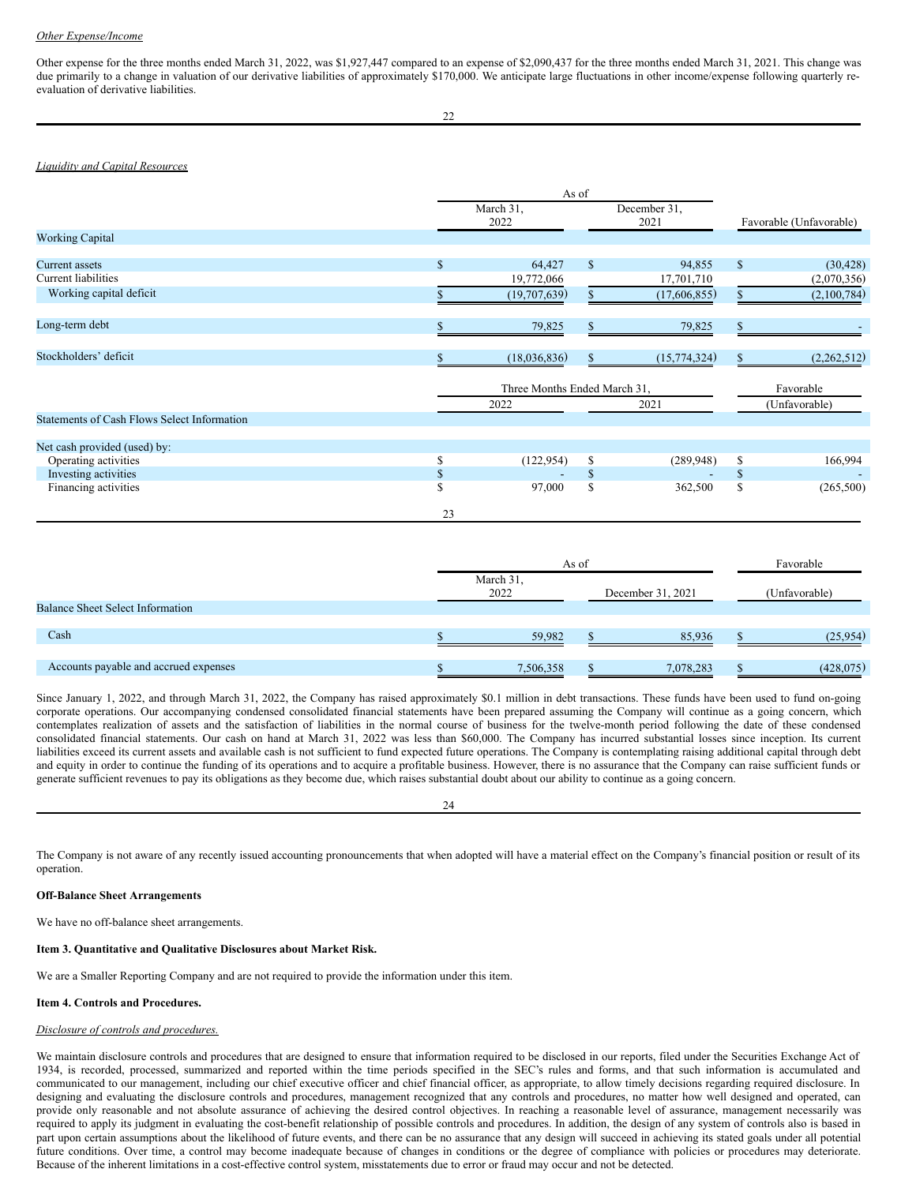#### *Other Expense/Income*

Other expense for the three months ended March 31, 2022, was \$1,927,447 compared to an expense of \$2,090,437 for the three months ended March 31, 2021. This change was due primarily to a change in valuation of our derivative liabilities of approximately \$170,000. We anticipate large fluctuations in other income/expense following quarterly reevaluation of derivative liabilities.

## *Liquidity and Capital Resources*

|                                             |              | As of                        |              |                      |               |                         |  |
|---------------------------------------------|--------------|------------------------------|--------------|----------------------|---------------|-------------------------|--|
|                                             |              | March 31,<br>2022            |              | December 31,<br>2021 |               | Favorable (Unfavorable) |  |
| <b>Working Capital</b>                      |              |                              |              |                      |               |                         |  |
| <b>Current</b> assets                       | $\mathbb{S}$ | 64,427                       | $\mathbf{s}$ | 94,855               | $\mathbb{S}$  | (30, 428)               |  |
| Current liabilities                         |              | 19,772,066                   |              | 17,701,710           |               | (2,070,356)             |  |
| Working capital deficit                     |              | (19,707,639)                 |              | (17,606,855)         | \$            | (2,100,784)             |  |
| Long-term debt                              |              | 79,825                       |              | 79,825               | \$            |                         |  |
| Stockholders' deficit                       |              | (18,036,836)                 |              | (15,774,324)         |               | (2,262,512)             |  |
|                                             |              | Three Months Ended March 31, |              |                      |               | Favorable               |  |
|                                             |              | 2021<br>2022                 |              |                      | (Unfavorable) |                         |  |
| Statements of Cash Flows Select Information |              |                              |              |                      |               |                         |  |
| Net cash provided (used) by:                |              |                              |              |                      |               |                         |  |
| Operating activities                        | \$           | (122, 954)                   | \$           | (289, 948)           | \$            | 166,994                 |  |
| Investing activities                        | \$           |                              | \$           |                      | \$            |                         |  |
| Financing activities                        | \$           | 97,000                       | \$           | 362,500              | \$            | (265, 500)              |  |
|                                             | 23           |                              |              |                      |               |                         |  |

|                                         |  | As of<br>March 31,<br>2022<br>December 31, 2021 |  |           |               | Favorable  |  |
|-----------------------------------------|--|-------------------------------------------------|--|-----------|---------------|------------|--|
|                                         |  |                                                 |  |           | (Unfavorable) |            |  |
| <b>Balance Sheet Select Information</b> |  |                                                 |  |           |               |            |  |
|                                         |  |                                                 |  |           |               |            |  |
| Cash                                    |  | 59.982                                          |  | 85,936    |               | (25,954)   |  |
|                                         |  |                                                 |  |           |               |            |  |
| Accounts payable and accrued expenses   |  | 7,506,358                                       |  | 7,078,283 |               | (428, 075) |  |

Since January 1, 2022, and through March 31, 2022, the Company has raised approximately \$0.1 million in debt transactions. These funds have been used to fund on-going corporate operations. Our accompanying condensed consolidated financial statements have been prepared assuming the Company will continue as a going concern, which contemplates realization of assets and the satisfaction of liabilities in the normal course of business for the twelve-month period following the date of these condensed consolidated financial statements. Our cash on hand at March 31, 2022 was less than \$60,000. The Company has incurred substantial losses since inception. Its current liabilities exceed its current assets and available cash is not sufficient to fund expected future operations. The Company is contemplating raising additional capital through debt and equity in order to continue the funding of its operations and to acquire a profitable business. However, there is no assurance that the Company can raise sufficient funds or generate sufficient revenues to pay its obligations as they become due, which raises substantial doubt about our ability to continue as a going concern.

24

The Company is not aware of any recently issued accounting pronouncements that when adopted will have a material effect on the Company's financial position or result of its operation.

## **Off-Balance Sheet Arrangements**

We have no off-balance sheet arrangements.

#### **Item 3. Quantitative and Qualitative Disclosures about Market Risk.**

We are a Smaller Reporting Company and are not required to provide the information under this item.

## **Item 4. Controls and Procedures.**

## *Disclosure of controls and procedures.*

We maintain disclosure controls and procedures that are designed to ensure that information required to be disclosed in our reports, filed under the Securities Exchange Act of 1934, is recorded, processed, summarized and reported within the time periods specified in the SEC's rules and forms, and that such information is accumulated and communicated to our management, including our chief executive officer and chief financial officer, as appropriate, to allow timely decisions regarding required disclosure. In designing and evaluating the disclosure controls and procedures, management recognized that any controls and procedures, no matter how well designed and operated, can provide only reasonable and not absolute assurance of achieving the desired control objectives. In reaching a reasonable level of assurance, management necessarily was required to apply its judgment in evaluating the cost-benefit relationship of possible controls and procedures. In addition, the design of any system of controls also is based in part upon certain assumptions about the likelihood of future events, and there can be no assurance that any design will succeed in achieving its stated goals under all potential future conditions. Over time, a control may become inadequate because of changes in conditions or the degree of compliance with policies or procedures may deteriorate. Because of the inherent limitations in a cost-effective control system, misstatements due to error or fraud may occur and not be detected.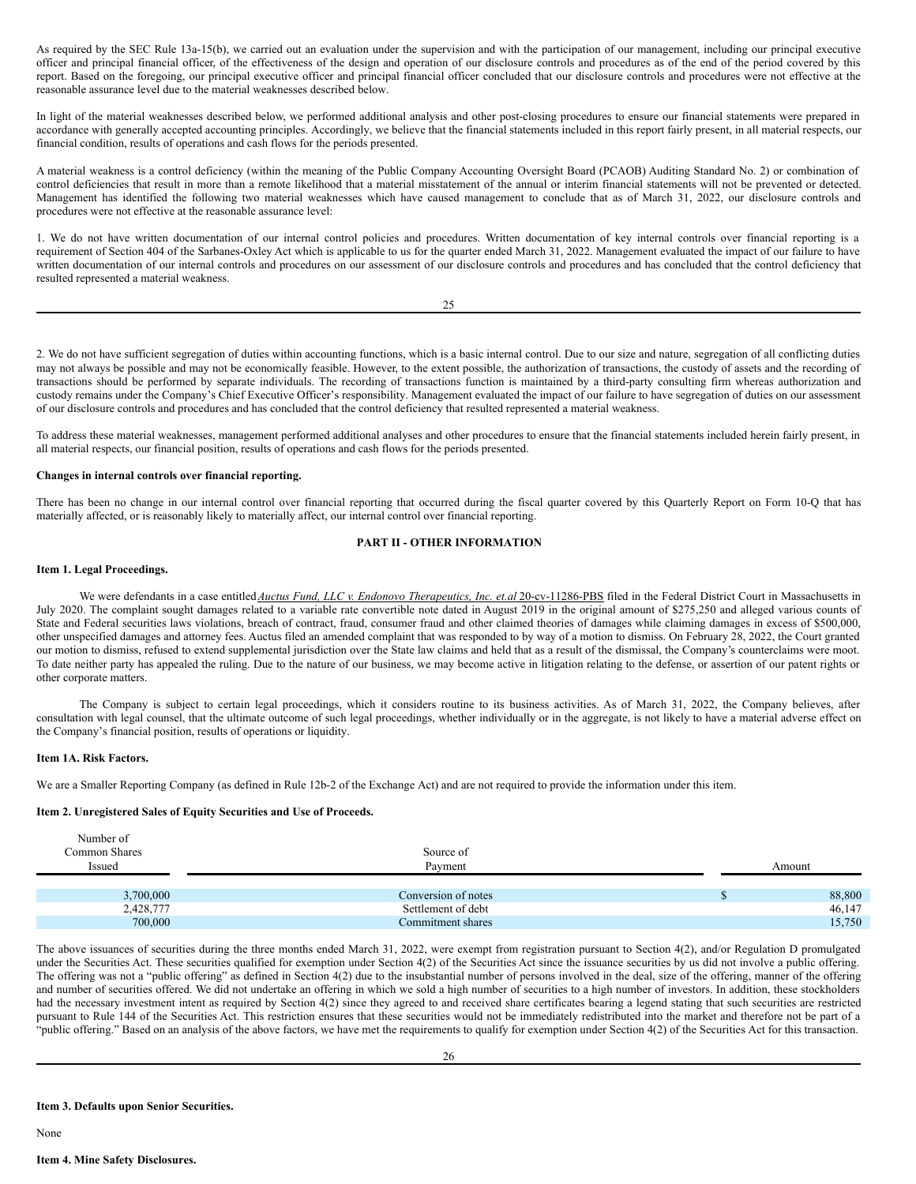As required by the SEC Rule 13a-15(b), we carried out an evaluation under the supervision and with the participation of our management, including our principal executive officer and principal financial officer, of the effectiveness of the design and operation of our disclosure controls and procedures as of the end of the period covered by this report. Based on the foregoing, our principal executive officer and principal financial officer concluded that our disclosure controls and procedures were not effective at the reasonable assurance level due to the material weaknesses described below.

In light of the material weaknesses described below, we performed additional analysis and other post-closing procedures to ensure our financial statements were prepared in accordance with generally accepted accounting principles. Accordingly, we believe that the financial statements included in this report fairly present, in all material respects, our financial condition, results of operations and cash flows for the periods presented.

A material weakness is a control deficiency (within the meaning of the Public Company Accounting Oversight Board (PCAOB) Auditing Standard No. 2) or combination of control deficiencies that result in more than a remote likelihood that a material misstatement of the annual or interim financial statements will not be prevented or detected. Management has identified the following two material weaknesses which have caused management to conclude that as of March 31, 2022, our disclosure controls and procedures were not effective at the reasonable assurance level:

1. We do not have written documentation of our internal control policies and procedures. Written documentation of key internal controls over financial reporting is a requirement of Section 404 of the Sarbanes-Oxley Act which is applicable to us for the quarter ended March 31, 2022. Management evaluated the impact of our failure to have written documentation of our internal controls and procedures on our assessment of our disclosure controls and procedures and has concluded that the control deficiency that resulted represented a material weakness.

25

2. We do not have sufficient segregation of duties within accounting functions, which is a basic internal control. Due to our size and nature, segregation of all conflicting duties may not always be possible and may not be economically feasible. However, to the extent possible, the authorization of transactions, the custody of assets and the recording of transactions should be performed by separate individuals. The recording of transactions function is maintained by a third-party consulting firm whereas authorization and custody remains under the Company's Chief Executive Officer's responsibility. Management evaluated the impact of our failure to have segregation of duties on our assessment of our disclosure controls and procedures and has concluded that the control deficiency that resulted represented a material weakness.

To address these material weaknesses, management performed additional analyses and other procedures to ensure that the financial statements included herein fairly present, in all material respects, our financial position, results of operations and cash flows for the periods presented.

## **Changes in internal controls over financial reporting.**

There has been no change in our internal control over financial reporting that occurred during the fiscal quarter covered by this Quarterly Report on Form 10-Q that has materially affected, or is reasonably likely to materially affect, our internal control over financial reporting.

## **PART II - OTHER INFORMATION**

#### **Item 1. Legal Proceedings.**

We were defendants in a case entitled*Auctus Fund, LLC v. Endonovo Therapeutics, Inc. et.al* 20-cv-11286-PBS filed in the Federal District Court in Massachusetts in July 2020. The complaint sought damages related to a variable rate convertible note dated in August 2019 in the original amount of \$275,250 and alleged various counts of State and Federal securities laws violations, breach of contract, fraud, consumer fraud and other claimed theories of damages while claiming damages in excess of \$500,000, other unspecified damages and attorney fees. Auctus filed an amended complaint that was responded to by way of a motion to dismiss. On February 28, 2022, the Court granted our motion to dismiss, refused to extend supplemental jurisdiction over the State law claims and held that as a result of the dismissal, the Company's counterclaims were moot. To date neither party has appealed the ruling. Due to the nature of our business, we may become active in litigation relating to the defense, or assertion of our patent rights or other corporate matters.

The Company is subject to certain legal proceedings, which it considers routine to its business activities. As of March 31, 2022, the Company believes, after consultation with legal counsel, that the ultimate outcome of such legal proceedings, whether individually or in the aggregate, is not likely to have a material adverse effect on the Company's financial position, results of operations or liquidity.

#### **Item 1A. Risk Factors.**

We are a Smaller Reporting Company (as defined in Rule 12b-2 of the Exchange Act) and are not required to provide the information under this item.

## **Item 2. Unregistered Sales of Equity Securities and Use of Proceeds.**

| Number of     |                     |        |        |
|---------------|---------------------|--------|--------|
| Common Shares | Source of           |        |        |
| Issued        | Payment             | Amount |        |
|               |                     |        |        |
| 3,700,000     | Conversion of notes |        | 88,800 |
| 2,428,777     | Settlement of debt  |        | 46,147 |
| 700,000       | Commitment shares   |        | 15.750 |

The above issuances of securities during the three months ended March 31, 2022, were exempt from registration pursuant to Section 4(2), and/or Regulation D promulgated under the Securities Act. These securities qualified for exemption under Section 4(2) of the Securities Act since the issuance securities by us did not involve a public offering. The offering was not a "public offering" as defined in Section 4(2) due to the insubstantial number of persons involved in the deal, size of the offering, manner of the offering and number of securities offered. We did not undertake an offering in which we sold a high number of securities to a high number of investors. In addition, these stockholders had the necessary investment intent as required by Section 4(2) since they agreed to and received share certificates bearing a legend stating that such securities are restricted pursuant to Rule 144 of the Securities Act. This restriction ensures that these securities would not be immediately redistributed into the market and therefore not be part of a "public offering." Based on an analysis of the above factors, we have met the requirements to qualify for exemption under Section 4(2) of the Securities Act for this transaction.

#### **Item 3. Defaults upon Senior Securities.**

None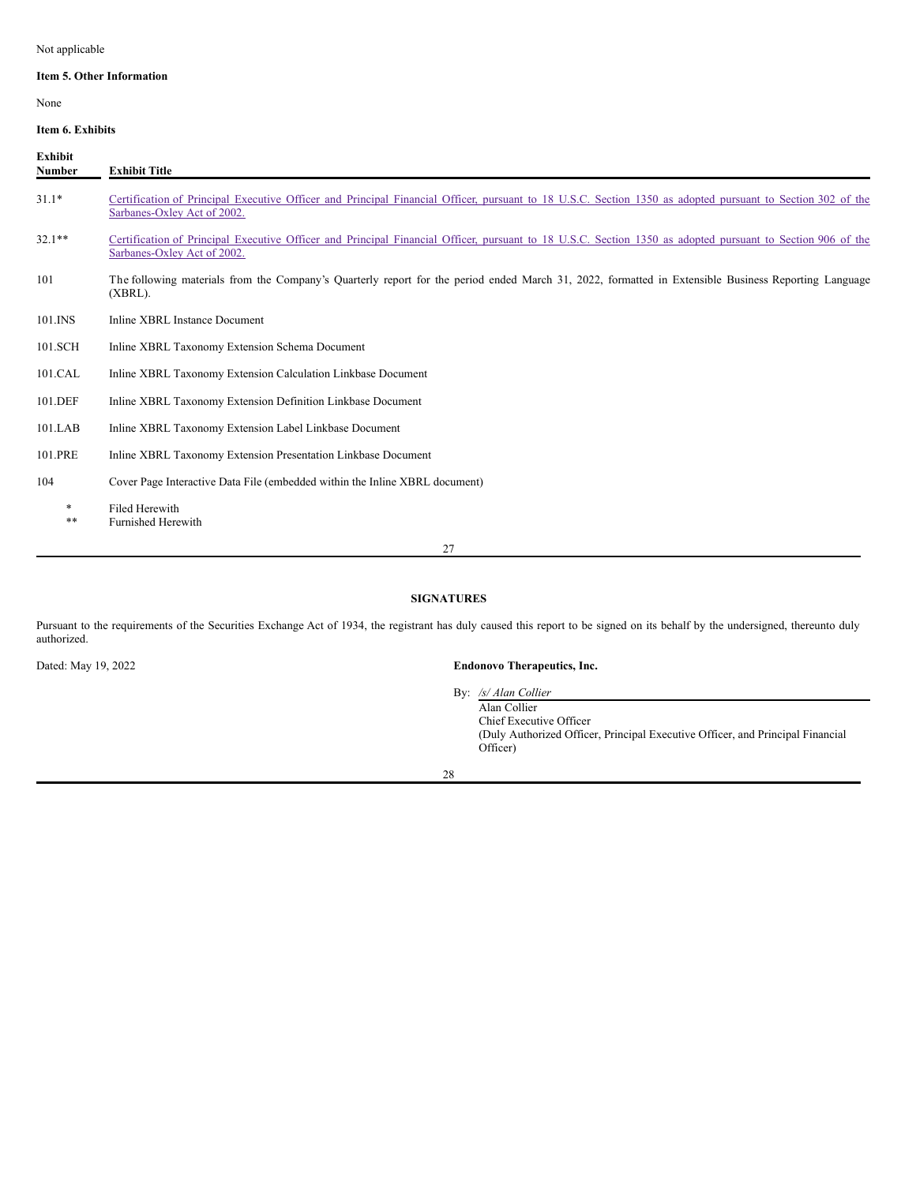## **Item 5. Other Information**

None

## **Item 6. Exhibits**

| <b>Exhibit</b><br>Number | <b>Exhibit Title</b>                                                                                                                                                                      |
|--------------------------|-------------------------------------------------------------------------------------------------------------------------------------------------------------------------------------------|
| $31.1*$                  | Certification of Principal Executive Officer and Principal Financial Officer, pursuant to 18 U.S.C. Section 1350 as adopted pursuant to Section 302 of the<br>Sarbanes-Oxley Act of 2002. |
| $32.1**$                 | Certification of Principal Executive Officer and Principal Financial Officer, pursuant to 18 U.S.C. Section 1350 as adopted pursuant to Section 906 of the<br>Sarbanes-Oxley Act of 2002. |
| 101                      | The following materials from the Company's Quarterly report for the period ended March 31, 2022, formatted in Extensible Business Reporting Language<br>$(XBRL)$ .                        |
| 101.INS                  | Inline XBRL Instance Document                                                                                                                                                             |
| 101.SCH                  | Inline XBRL Taxonomy Extension Schema Document                                                                                                                                            |
| 101.CAL                  | Inline XBRL Taxonomy Extension Calculation Linkbase Document                                                                                                                              |
| 101.DEF                  | Inline XBRL Taxonomy Extension Definition Linkbase Document                                                                                                                               |
| $101$ .LAB               | Inline XBRL Taxonomy Extension Label Linkbase Document                                                                                                                                    |
| 101.PRE                  | Inline XBRL Taxonomy Extension Presentation Linkbase Document                                                                                                                             |
| 104                      | Cover Page Interactive Data File (embedded within the Inline XBRL document)                                                                                                               |
| $\ast$<br>**             | Filed Herewith<br>Furnished Herewith                                                                                                                                                      |
|                          | 27                                                                                                                                                                                        |

# **SIGNATURES**

Pursuant to the requirements of the Securities Exchange Act of 1934, the registrant has duly caused this report to be signed on its behalf by the undersigned, thereunto duly authorized.

28

## Dated: May 19, 2022 **Endonovo Therapeutics, Inc.**

By: */s/ Alan Collier*

Alan Collier Chief Executive Officer (Duly Authorized Officer, Principal Executive Officer, and Principal Financial Officer)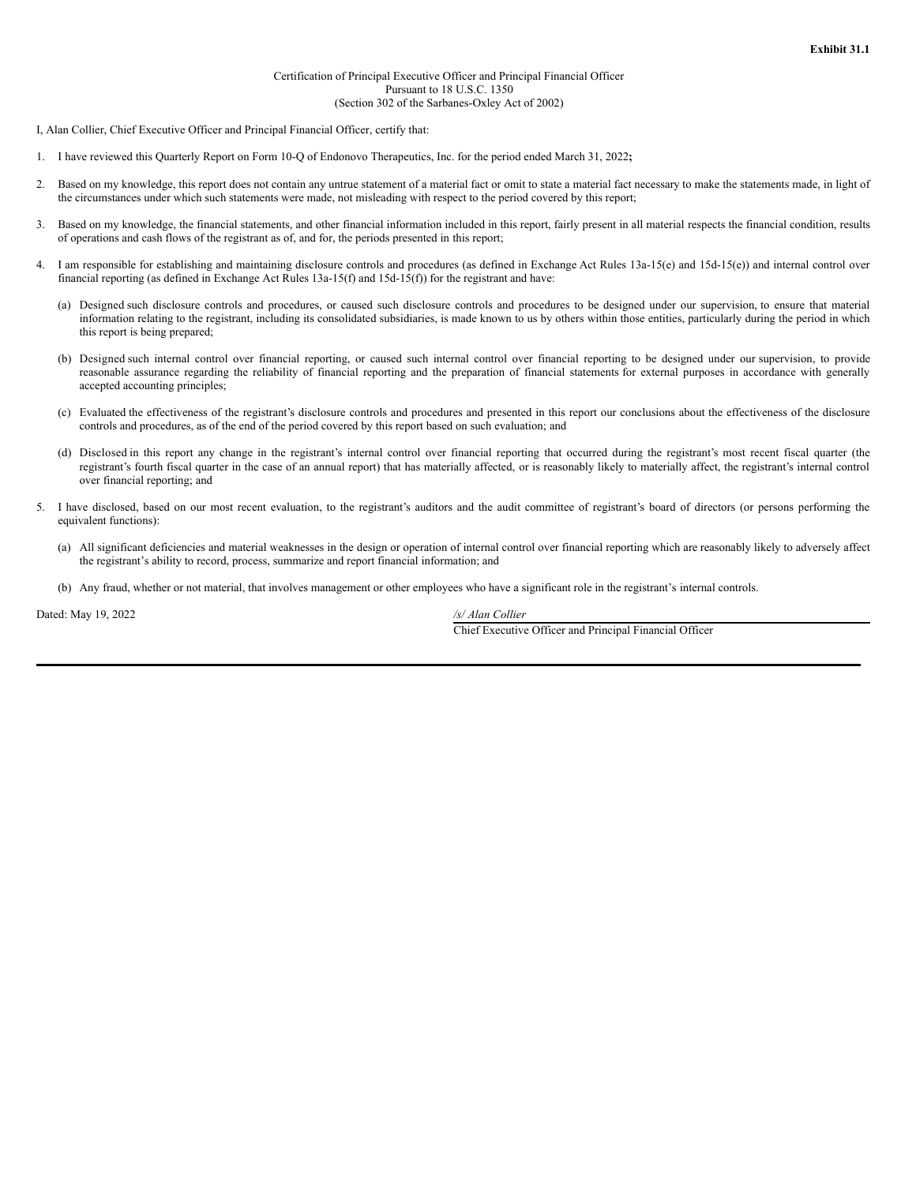#### Certification of Principal Executive Officer and Principal Financial Officer Pursuant to 18 U.S.C. 1350 (Section 302 of the Sarbanes-Oxley Act of 2002)

<span id="page-15-0"></span>I, Alan Collier, Chief Executive Officer and Principal Financial Officer, certify that:

- 1. I have reviewed this Quarterly Report on Form 10-Q of Endonovo Therapeutics, Inc. for the period ended March 31, 2022**;**
- 2. Based on my knowledge, this report does not contain any untrue statement of a material fact or omit to state a material fact necessary to make the statements made, in light of the circumstances under which such statements were made, not misleading with respect to the period covered by this report;
- 3. Based on my knowledge, the financial statements, and other financial information included in this report, fairly present in all material respects the financial condition, results of operations and cash flows of the registrant as of, and for, the periods presented in this report;
- 4. I am responsible for establishing and maintaining disclosure controls and procedures (as defined in Exchange Act Rules 13a-15(e) and 15d-15(e)) and internal control over financial reporting (as defined in Exchange Act Rules 13a-15(f) and 15d-15(f)) for the registrant and have:
	- (a) Designed such disclosure controls and procedures, or caused such disclosure controls and procedures to be designed under our supervision, to ensure that material information relating to the registrant, including its consolidated subsidiaries, is made known to us by others within those entities, particularly during the period in which this report is being prepared;
	- (b) Designed such internal control over financial reporting, or caused such internal control over financial reporting to be designed under our supervision, to provide reasonable assurance regarding the reliability of financial reporting and the preparation of financial statements for external purposes in accordance with generally accepted accounting principles;
	- (c) Evaluated the effectiveness of the registrant's disclosure controls and procedures and presented in this report our conclusions about the effectiveness of the disclosure controls and procedures, as of the end of the period covered by this report based on such evaluation; and
	- (d) Disclosed in this report any change in the registrant's internal control over financial reporting that occurred during the registrant's most recent fiscal quarter (the registrant's fourth fiscal quarter in the case of an annual report) that has materially affected, or is reasonably likely to materially affect, the registrant's internal control over financial reporting; and
- 5. I have disclosed, based on our most recent evaluation, to the registrant's auditors and the audit committee of registrant's board of directors (or persons performing the equivalent functions):
	- (a) All significant deficiencies and material weaknesses in the design or operation of internal control over financial reporting which are reasonably likely to adversely affect the registrant's ability to record, process, summarize and report financial information; and
	- (b) Any fraud, whether or not material, that involves management or other employees who have a significant role in the registrant's internal controls.

Dated: May 19, 2022 */s/ Alan Collier*

Chief Executive Officer and Principal Financial Officer